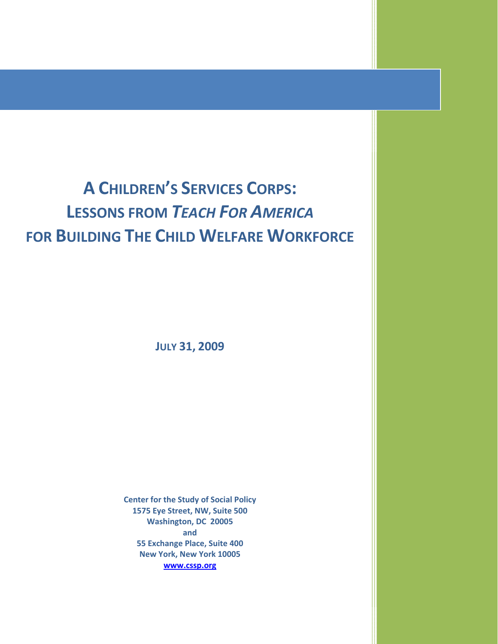# **A CHILDREN'S SERVICES CORPS: LESSONS FROM TEACH FOR AMERICA** FOR BUILDING THE CHILD WELFARE WORKFORCE

**JULY 31, 2009** 

**Center for the Study of Social Policy** 1575 Eye Street, NW, Suite 500 Washington, DC 20005 and 55 Exchange Place, Suite 400 New York, New York 10005 www.cssp.org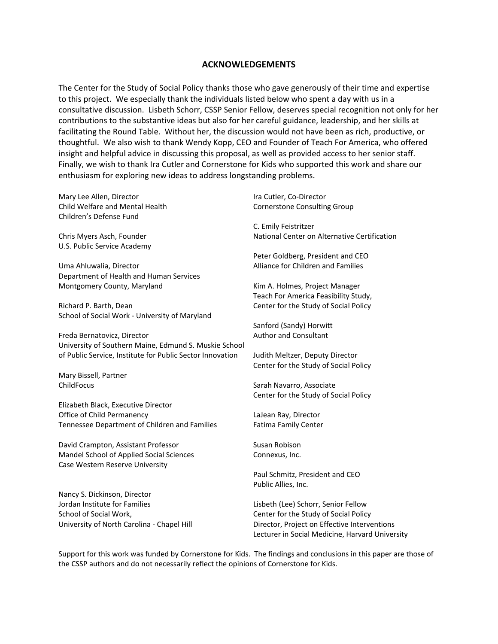### **ACKNOWLEDGEMENTS**

The Center for the Study of Social Policy thanks those who gave generously of their time and expertise to this project. We especially thank the individuals listed below who spent a day with us in a consultative discussion. Lisbeth Schorr, CSSP Senior Fellow, deserves special recognition not only for her contributions to the substantive ideas but also for her careful guidance, leadership, and her skills at facilitating the Round Table. Without her, the discussion would not have been as rich, productive, or thoughtful. We also wish to thank Wendy Kopp, CEO and Founder of Teach For America, who offered insight and helpful advice in discussing this proposal, as well as provided access to her senior staff. Finally, we wish to thank Ira Cutler and Cornerstone for Kids who supported this work and share our enthusiasm for exploring new ideas to address longstanding problems.

Mary Lee Allen, Director Child Welfare and Mental Health Children's Defense Fund

Chris Myers Asch, Founder U.S. Public Service Academy

Uma Ahluwalia, Director Department of Health and Human Services Montgomery County, Maryland

Richard P. Barth, Dean School of Social Work - University of Maryland

Freda Bernatovicz, Director University of Southern Maine, Edmund S. Muskie School of Public Service, Institute for Public Sector Innovation

Mary Bissell, Partner ChildFocus

Elizabeth Black, Executive Director Office of Child Permanency Tennessee Department of Children and Families

David Crampton, Assistant Professor Mandel School of Applied Social Sciences Case Western Reserve University

Nancy S. Dickinson, Director Jordan Institute for Families School of Social Work, University of North Carolina - Chapel Hill Ira Cutler, Co-Director **Cornerstone Consulting Group** 

C. Emily Feistritzer National Center on Alternative Certification

Peter Goldberg, President and CEO Alliance for Children and Families

Kim A. Holmes, Project Manager Teach For America Feasibility Study, Center for the Study of Social Policy

Sanford (Sandy) Horwitt Author and Consultant

Judith Meltzer, Deputy Director Center for the Study of Social Policy

Sarah Navarro, Associate Center for the Study of Social Policy

LaJean Ray, Director Fatima Family Center

Susan Robison Connexus, Inc.

Paul Schmitz, President and CEO Public Allies, Inc.

Lisbeth (Lee) Schorr, Senior Fellow Center for the Study of Social Policy Director, Project on Effective Interventions Lecturer in Social Medicine, Harvard University

Support for this work was funded by Cornerstone for Kids. The findings and conclusions in this paper are those of the CSSP authors and do not necessarily reflect the opinions of Cornerstone for Kids.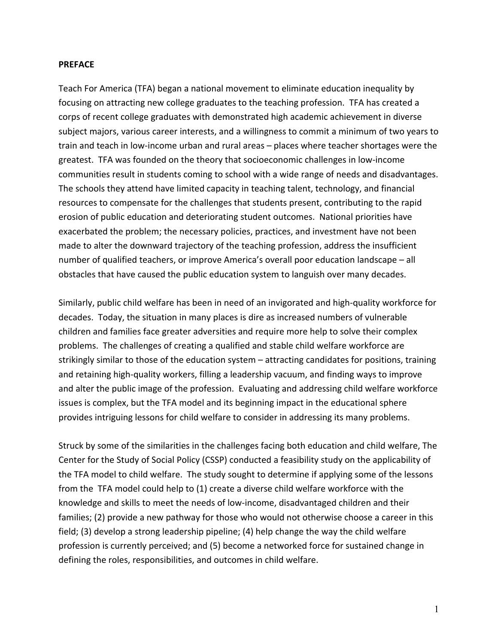### **PREFACE**

Teach For America (TFA) began a national movement to eliminate education inequality by focusing on attracting new college graduates to the teaching profession. TFA has created a corps of recent college graduates with demonstrated high academic achievement in diverse subject majors, various career interests, and a willingness to commit a minimum of two years to train and teach in low-income urban and rural areas - places where teacher shortages were the greatest. TFA was founded on the theory that socioeconomic challenges in low-income communities result in students coming to school with a wide range of needs and disadvantages. The schools they attend have limited capacity in teaching talent, technology, and financial resources to compensate for the challenges that students present, contributing to the rapid erosion of public education and deteriorating student outcomes. National priorities have exacerbated the problem; the necessary policies, practices, and investment have not been made to alter the downward trajectory of the teaching profession, address the insufficient number of qualified teachers, or improve America's overall poor education landscape - all obstacles that have caused the public education system to languish over many decades.

Similarly, public child welfare has been in need of an invigorated and high-quality workforce for decades. Today, the situation in many places is dire as increased numbers of vulnerable children and families face greater adversities and require more help to solve their complex problems. The challenges of creating a qualified and stable child welfare workforce are strikingly similar to those of the education system – attracting candidates for positions, training and retaining high-quality workers, filling a leadership vacuum, and finding ways to improve and alter the public image of the profession. Evaluating and addressing child welfare workforce issues is complex, but the TFA model and its beginning impact in the educational sphere provides intriguing lessons for child welfare to consider in addressing its many problems.

Struck by some of the similarities in the challenges facing both education and child welfare, The Center for the Study of Social Policy (CSSP) conducted a feasibility study on the applicability of the TFA model to child welfare. The study sought to determine if applying some of the lessons from the TFA model could help to (1) create a diverse child welfare workforce with the knowledge and skills to meet the needs of low-income, disadvantaged children and their families; (2) provide a new pathway for those who would not otherwise choose a career in this field; (3) develop a strong leadership pipeline; (4) help change the way the child welfare profession is currently perceived; and (5) become a networked force for sustained change in defining the roles, responsibilities, and outcomes in child welfare.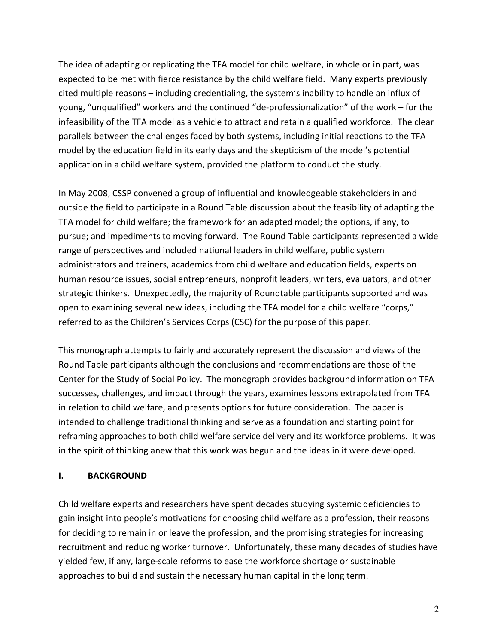The idea of adapting or replicating the TFA model for child welfare, in whole or in part, was expected to be met with fierce resistance by the child welfare field. Many experts previously cited multiple reasons - including credentialing, the system's inability to handle an influx of young, "unqualified" workers and the continued "de-professionalization" of the work – for the infeasibility of the TFA model as a vehicle to attract and retain a qualified workforce. The clear parallels between the challenges faced by both systems, including initial reactions to the TFA model by the education field in its early days and the skepticism of the model's potential application in a child welfare system, provided the platform to conduct the study.

In May 2008, CSSP convened a group of influential and knowledgeable stakeholders in and outside the field to participate in a Round Table discussion about the feasibility of adapting the TFA model for child welfare; the framework for an adapted model; the options, if any, to pursue; and impediments to moving forward. The Round Table participants represented a wide range of perspectives and included national leaders in child welfare, public system administrators and trainers, academics from child welfare and education fields, experts on human resource issues, social entrepreneurs, nonprofit leaders, writers, evaluators, and other strategic thinkers. Unexpectedly, the majority of Roundtable participants supported and was open to examining several new ideas, including the TFA model for a child welfare "corps," referred to as the Children's Services Corps (CSC) for the purpose of this paper.

This monograph attempts to fairly and accurately represent the discussion and views of the Round Table participants although the conclusions and recommendations are those of the Center for the Study of Social Policy. The monograph provides background information on TFA successes, challenges, and impact through the years, examines lessons extrapolated from TFA in relation to child welfare, and presents options for future consideration. The paper is intended to challenge traditional thinking and serve as a foundation and starting point for reframing approaches to both child welfare service delivery and its workforce problems. It was in the spirit of thinking anew that this work was begun and the ideas in it were developed.

#### $\mathbf{L}$ **BACKGROUND**

Child welfare experts and researchers have spent decades studying systemic deficiencies to gain insight into people's motivations for choosing child welfare as a profession, their reasons for deciding to remain in or leave the profession, and the promising strategies for increasing recruitment and reducing worker turnover. Unfortunately, these many decades of studies have yielded few, if any, large-scale reforms to ease the workforce shortage or sustainable approaches to build and sustain the necessary human capital in the long term.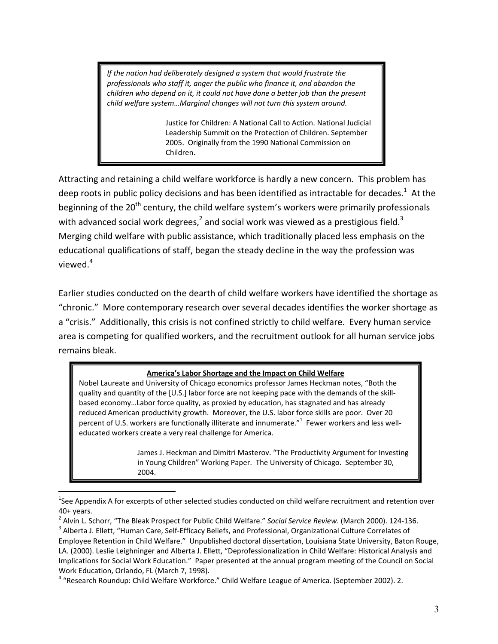If the nation had deliberately designed a system that would frustrate the professionals who staff it, anger the public who finance it, and abandon the children who depend on it, it could not have done a better job than the present child welfare system...Marginal changes will not turn this system around.

> Justice for Children: A National Call to Action. National Judicial Leadership Summit on the Protection of Children. September 2005. Originally from the 1990 National Commission on Children.

Attracting and retaining a child welfare workforce is hardly a new concern. This problem has deep roots in public policy decisions and has been identified as intractable for decades.<sup>1</sup> At the beginning of the 20<sup>th</sup> century, the child welfare system's workers were primarily professionals with advanced social work degrees, $^2$  and social work was viewed as a prestigious field.<sup>3</sup> Merging child welfare with public assistance, which traditionally placed less emphasis on the educational qualifications of staff, began the steady decline in the way the profession was viewed.<sup>4</sup>

Earlier studies conducted on the dearth of child welfare workers have identified the shortage as "chronic." More contemporary research over several decades identifies the worker shortage as a "crisis." Additionally, this crisis is not confined strictly to child welfare. Every human service area is competing for qualified workers, and the recruitment outlook for all human service jobs remains bleak.

## America's Labor Shortage and the Impact on Child Welfare

Nobel Laureate and University of Chicago economics professor James Heckman notes, "Both the quality and quantity of the [U.S.] labor force are not keeping pace with the demands of the skillbased economy...Labor force quality, as proxied by education, has stagnated and has already reduced American productivity growth. Moreover, the U.S. labor force skills are poor. Over 20 percent of U.S. workers are functionally illiterate and innumerate." Fewer workers and less welleducated workers create a very real challenge for America.

> James J. Heckman and Dimitri Masterov. "The Productivity Argument for Investing in Young Children" Working Paper. The University of Chicago. September 30, 2004.

 $1$ See Appendix A for excerpts of other selected studies conducted on child welfare recruitment and retention over  $40+$  years.

<sup>&</sup>lt;sup>2</sup> Alvin L. Schorr, "The Bleak Prospect for Public Child Welfare." Social Service Review. (March 2000). 124-136.

<sup>&</sup>lt;sup>3</sup> Alberta J. Ellett, "Human Care, Self-Efficacy Beliefs, and Professional, Organizational Culture Correlates of Employee Retention in Child Welfare." Unpublished doctoral dissertation, Louisiana State University, Baton Rouge, LA. (2000). Leslie Leighninger and Alberta J. Ellett, "Deprofessionalization in Child Welfare: Historical Analysis and Implications for Social Work Education." Paper presented at the annual program meeting of the Council on Social Work Education, Orlando, FL (March 7, 1998).

<sup>&</sup>lt;sup>4</sup> "Research Roundup: Child Welfare Workforce." Child Welfare League of America. (September 2002). 2.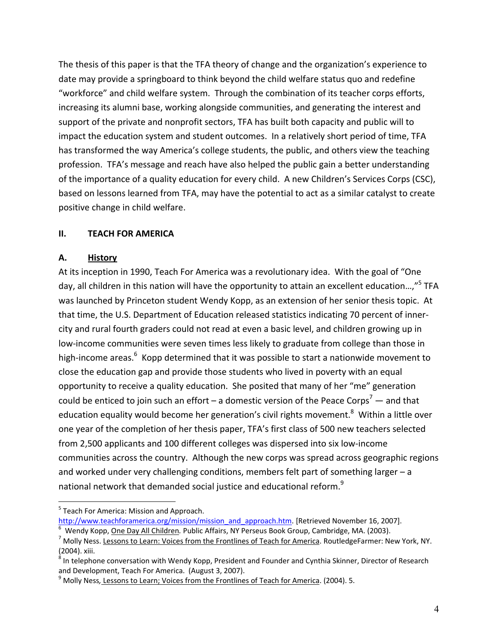The thesis of this paper is that the TFA theory of change and the organization's experience to date may provide a springboard to think beyond the child welfare status quo and redefine "workforce" and child welfare system. Through the combination of its teacher corps efforts, increasing its alumni base, working alongside communities, and generating the interest and support of the private and nonprofit sectors, TFA has built both capacity and public will to impact the education system and student outcomes. In a relatively short period of time, TFA has transformed the way America's college students, the public, and others view the teaching profession. TFA's message and reach have also helped the public gain a better understanding of the importance of a quality education for every child. A new Children's Services Corps (CSC), based on lessons learned from TFA, may have the potential to act as a similar catalyst to create positive change in child welfare.

#### **TEACH FOR AMERICA** П.

#### А. **History**

At its inception in 1990, Teach For America was a revolutionary idea. With the goal of "One day, all children in this nation will have the opportunity to attain an excellent education...,"<sup>5</sup> TFA was launched by Princeton student Wendy Kopp, as an extension of her senior thesis topic. At that time, the U.S. Department of Education released statistics indicating 70 percent of innercity and rural fourth graders could not read at even a basic level, and children growing up in low-income communities were seven times less likely to graduate from college than those in high-income areas.<sup>6</sup> Kopp determined that it was possible to start a nationwide movement to close the education gap and provide those students who lived in poverty with an equal opportunity to receive a quality education. She posited that many of her "me" generation could be enticed to join such an effort – a domestic version of the Peace Corps<sup>7</sup> — and that education equality would become her generation's civil rights movement.<sup>8</sup> Within a little over one year of the completion of her thesis paper, TFA's first class of 500 new teachers selected from 2,500 applicants and 100 different colleges was dispersed into six low-income communities across the country. Although the new corps was spread across geographic regions and worked under very challenging conditions, members felt part of something larger - a national network that demanded social justice and educational reform.<sup>9</sup>

<sup>&</sup>lt;sup>5</sup> Teach For America: Mission and Approach.

http://www.teachforamerica.org/mission/mission\_and\_approach.htm. [Retrieved November 16, 2007]. Wendy Kopp, One Day All Children. Public Affairs, NY Perseus Book Group, Cambridge, MA. (2003).

<sup>&</sup>lt;sup>7</sup> Molly Ness. Lessons to Learn: Voices from the Frontlines of Teach for America. RoutledgeFarmer: New York, NY. (2004). xiii.

 $8$  In telephone conversation with Wendy Kopp, President and Founder and Cynthia Skinner, Director of Research and Development, Teach For America. (August 3, 2007).

<sup>&</sup>lt;sup>9</sup> Molly Ness, Lessons to Learn; Voices from the Frontlines of Teach for America. (2004). 5.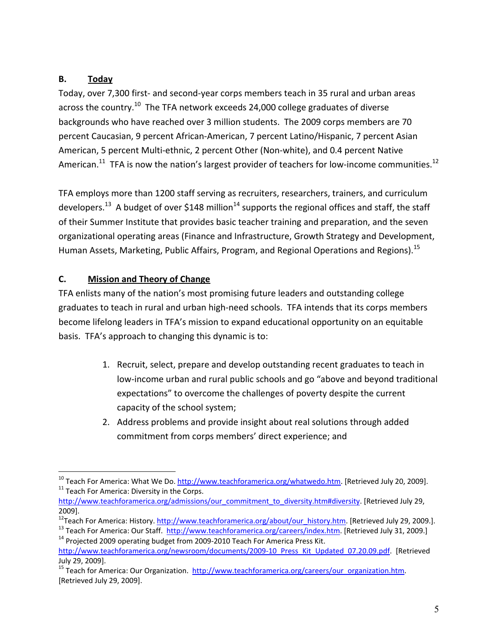#### В. Today

Today, over 7,300 first- and second-year corps members teach in 35 rural and urban areas across the country.<sup>10</sup> The TFA network exceeds 24,000 college graduates of diverse backgrounds who have reached over 3 million students. The 2009 corps members are 70 percent Caucasian, 9 percent African-American, 7 percent Latino/Hispanic, 7 percent Asian American, 5 percent Multi-ethnic, 2 percent Other (Non-white), and 0.4 percent Native American.<sup>11</sup> TFA is now the nation's largest provider of teachers for low-income communities.<sup>12</sup>

TFA employs more than 1200 staff serving as recruiters, researchers, trainers, and curriculum developers.<sup>13</sup> A budget of over \$148 million<sup>14</sup> supports the regional offices and staff, the staff of their Summer Institute that provides basic teacher training and preparation, and the seven organizational operating areas (Finance and Infrastructure, Growth Strategy and Development, Human Assets, Marketing, Public Affairs, Program, and Regional Operations and Regions).<sup>15</sup>

#### C. **Mission and Theory of Change**

TFA enlists many of the nation's most promising future leaders and outstanding college graduates to teach in rural and urban high-need schools. TFA intends that its corps members become lifelong leaders in TFA's mission to expand educational opportunity on an equitable basis. TFA's approach to changing this dynamic is to:

- 1. Recruit, select, prepare and develop outstanding recent graduates to teach in low-income urban and rural public schools and go "above and beyond traditional expectations" to overcome the challenges of poverty despite the current capacity of the school system;
- 2. Address problems and provide insight about real solutions through added commitment from corps members' direct experience; and

<sup>&</sup>lt;sup>10</sup> Teach For America: What We Do. http://www.teachforamerica.org/whatwedo.htm. [Retrieved July 20, 2009]. <sup>11</sup> Teach For America: Diversity in the Corps.

http://www.teachforamerica.org/admissions/our\_commitment\_to\_diversity.htm#diversity. [Retrieved July 29, 2009].

<sup>&</sup>lt;sup>12</sup>Teach For America: History. http://www.teachforamerica.org/about/our history.htm. [Retrieved July 29, 2009.].

<sup>&</sup>lt;sup>13</sup> Teach For America: Our Staff. http://www.teachforamerica.org/careers/index.htm. [Retrieved July 31, 2009.] <sup>14</sup> Projected 2009 operating budget from 2009-2010 Teach For America Press Kit.

http://www.teachforamerica.org/newsroom/documents/2009-10 Press Kit Updated 07.20.09.pdf. [Retrieved July 29, 2009].

<sup>&</sup>lt;sup>15</sup> Teach for America: Our Organization. http://www.teachforamerica.org/careers/our organization.htm. [Retrieved July 29, 2009].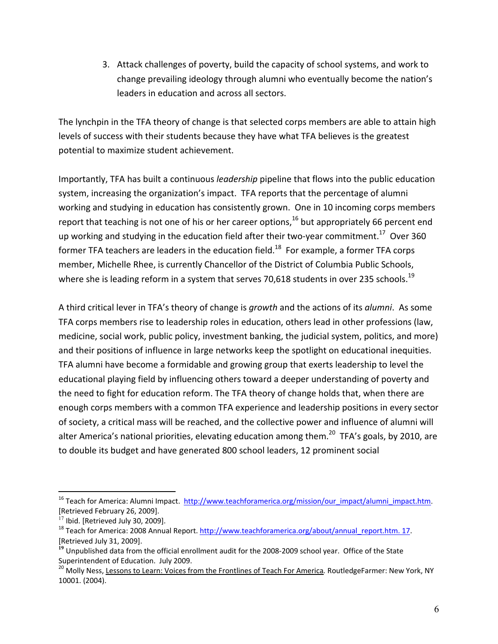3. Attack challenges of poverty, build the capacity of school systems, and work to change prevailing ideology through alumni who eventually become the nation's leaders in education and across all sectors.

The lynchpin in the TFA theory of change is that selected corps members are able to attain high levels of success with their students because they have what TFA believes is the greatest potential to maximize student achievement.

Importantly, TFA has built a continuous leadership pipeline that flows into the public education system, increasing the organization's impact. TFA reports that the percentage of alumni working and studying in education has consistently grown. One in 10 incoming corps members report that teaching is not one of his or her career options,  $^{16}$  but appropriately 66 percent end up working and studying in the education field after their two-vear commitment.<sup>17</sup> Over 360 former TFA teachers are leaders in the education field.<sup>18</sup> For example, a former TFA corps member, Michelle Rhee, is currently Chancellor of the District of Columbia Public Schools, where she is leading reform in a system that serves 70,618 students in over 235 schools.<sup>19</sup>

A third critical lever in TFA's theory of change is growth and the actions of its alumni. As some TFA corps members rise to leadership roles in education, others lead in other professions (law, medicine, social work, public policy, investment banking, the judicial system, politics, and more) and their positions of influence in large networks keep the spotlight on educational inequities. TFA alumni have become a formidable and growing group that exerts leadership to level the educational playing field by influencing others toward a deeper understanding of poverty and the need to fight for education reform. The TFA theory of change holds that, when there are enough corps members with a common TFA experience and leadership positions in every sector of society, a critical mass will be reached, and the collective power and influence of alumni will alter America's national priorities, elevating education among them.<sup>20</sup> TFA's goals, by 2010, are to double its budget and have generated 800 school leaders, 12 prominent social

<sup>&</sup>lt;sup>16</sup> Teach for America: Alumni Impact. http://www.teachforamerica.org/mission/our impact/alumni impact.htm. [Retrieved February 26, 2009].

 $17$  Ibid. [Retrieved July 30, 2009].

<sup>&</sup>lt;sup>18</sup> Teach for America: 2008 Annual Report. http://www.teachforamerica.org/about/annual report.htm. 17. [Retrieved July 31, 2009].

<sup>&</sup>lt;sup>19</sup> Unpublished data from the official enrollment audit for the 2008-2009 school year. Office of the State Superintendent of Education. July 2009.

<sup>&</sup>lt;sup>20</sup> Molly Ness, Lessons to Learn: Voices from the Frontlines of Teach For America. RoutledgeFarmer: New York, NY 10001. (2004).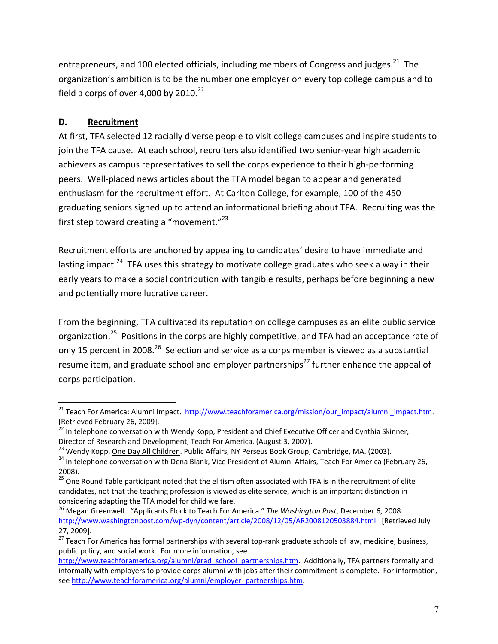entrepreneurs, and 100 elected officials, including members of Congress and judges.<sup>21</sup> The organization's ambition is to be the number one employer on every top college campus and to field a corps of over 4,000 by 2010. $^{22}$ 

# **D.** Recruitment

 $\overline{a}$ 

At first, TFA selected 12 racially diverse people to visit college campuses and inspire students to join the TFA cause. At each school, recruiters also identified two senior-year high academic achievers as campus representatives to sell the corps experience to their high-performing peers. Well-placed news articles about the TFA model began to appear and generated enthusiasm for the recruitment effort. At Carlton College, for example, 100 of the 450 graduating seniors signed up to attend an informational briefing about TFA. Recruiting was the first step toward creating a "movement." $^{23}$ 

Recruitment efforts are anchored by appealing to candidates' desire to have immediate and lasting impact.<sup>24</sup> TFA uses this strategy to motivate college graduates who seek a way in their early years to make a social contribution with tangible results, perhaps before beginning a new and potentially more lucrative career.

From the beginning, TFA cultivated its reputation on college campuses as an elite public service organization.<sup>25</sup> Positions in the corps are highly competitive, and TFA had an acceptance rate of only 15 percent in 2008.<sup>26</sup> Selection and service as a corps member is viewed as a substantial resume item, and graduate school and employer partnerships<sup>27</sup> further enhance the appeal of corps participation<

<sup>&</sup>lt;sup>21</sup> Teach For America: Alumni Impact. http://www.teachforamerica.org/mission/our impact/alumni impact.htm.<br>[Retrieved February 26, 2009].

 $\frac{22}{2}$  In telephone conversation with Wendy Kopp, President and Chief Executive Officer and Cynthia Skinner,<br>Director of Research and Development, Teach For America. (August 3, 2007).

<sup>&</sup>lt;sup>23</sup> Wendy Kopp. <u>One Day All Children</u>. Public Affairs, NY Perseus Book Group, Cambridge, MA. (2003).<br><sup>24</sup> In telephone conversation with Dena Blank, Vice President of Alumni Affairs, Teach For America (February 26, 2008).<br><sup>25</sup> One Round Table participant noted that the elitism often associated with TFA is in the recruitment of elite

candidates, not that the teaching profession is viewed as elite service, which is an important distinction in considering adapting the TFA model for child welfare.<br><sup>26</sup> Megan Greenwell. "Applicants Flock to Teach For America." *The Washington Post*, December 6, 2008.

http://www.washingtonpost.com/wp-dyn/content/article/2008/12/05/AR2008120503884.html. [Retrieved July 27, 2009].

<sup>&</sup>lt;sup>27</sup> Teach For America has formal partnerships with several top-rank graduate schools of law, medicine, business, public policy, and social work. For more information, see

http://www.teachforamerica.org/alumni/grad\_school\_partnerships.htm. Additionally. TFA partners formally and informally with employers to provide corps alumni with jobs after their commitment is complete. For information, see http://www.teachforamerica.org/alumni/employer partnerships.htm.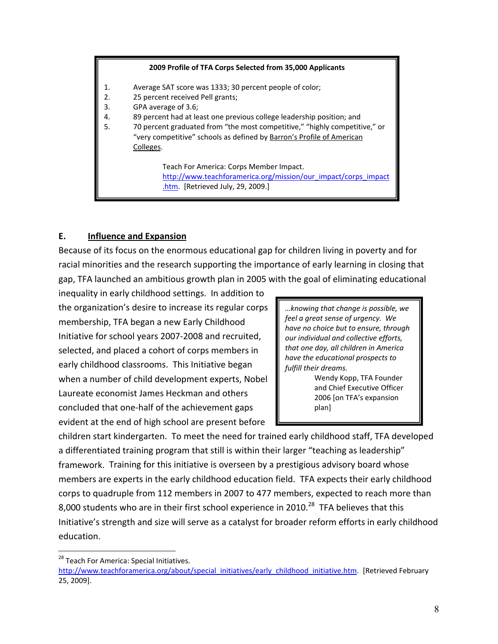### 2009 Profile of TFA Corps Selected from 35,000 Applicants

- Average SAT score was 1333; 30 percent people of color;  $1.$
- $2.$ 25 percent received Pell grants;
- 3. GPA average of 3.6;
- 4. 89 percent had at least one previous college leadership position; and
- 70 percent graduated from "the most competitive," "highly competitive," or 5. "very competitive" schools as defined by Barron's Profile of American Colleges.

Teach For America: Corps Member Impact. http://www.teachforamerica.org/mission/our impact/corps impact .htm. [Retrieved July, 29, 2009.]

#### E. **Influence and Expansion**

Because of its focus on the enormous educational gap for children living in poverty and for racial minorities and the research supporting the importance of early learning in closing that gap, TFA launched an ambitious growth plan in 2005 with the goal of eliminating educational

inequality in early childhood settings. In addition to the organization's desire to increase its regular corps membership, TFA began a new Early Childhood Initiative for school years 2007-2008 and recruited, selected, and placed a cohort of corps members in early childhood classrooms. This Initiative began when a number of child development experts, Nobel Laureate economist James Heckman and others concluded that one-half of the achievement gaps evident at the end of high school are present before

... knowing that change is possible, we feel a great sense of urgency. We have no choice but to ensure, through our individual and collective efforts, that one day, all children in America have the educational prospects to fulfill their dreams.

Wendy Kopp, TFA Founder and Chief Executive Officer 2006 [on TFA's expansion plan]

children start kindergarten. To meet the need for trained early childhood staff, TFA developed a differentiated training program that still is within their larger "teaching as leadership" framework. Training for this initiative is overseen by a prestigious advisory board whose members are experts in the early childhood education field. TFA expects their early childhood corps to quadruple from 112 members in 2007 to 477 members, expected to reach more than 8,000 students who are in their first school experience in 2010.<sup>28</sup> TFA believes that this Initiative's strength and size will serve as a catalyst for broader reform efforts in early childhood education.

<sup>&</sup>lt;sup>28</sup> Teach For America: Special Initiatives.

http://www.teachforamerica.org/about/special initiatives/early childhood initiative.htm. [Retrieved February 25, 2009].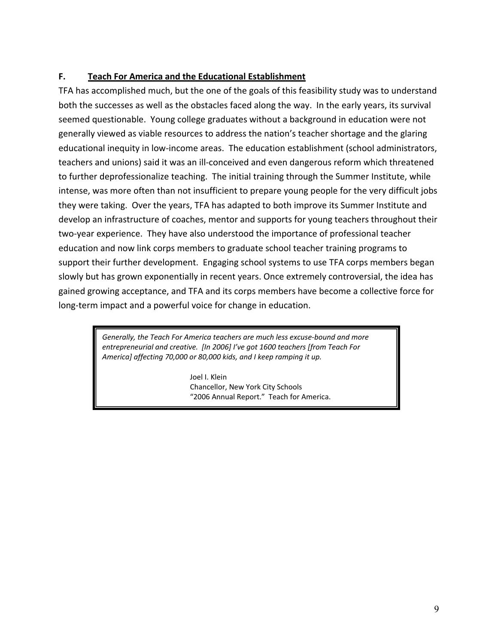#### F. **Teach For America and the Educational Establishment**

TFA has accomplished much, but the one of the goals of this feasibility study was to understand both the successes as well as the obstacles faced along the way. In the early years, its survival seemed questionable. Young college graduates without a background in education were not generally viewed as viable resources to address the nation's teacher shortage and the glaring educational inequity in low-income areas. The education establishment (school administrators, teachers and unions) said it was an ill-conceived and even dangerous reform which threatened to further deprofessionalize teaching. The initial training through the Summer Institute, while intense, was more often than not insufficient to prepare young people for the very difficult jobs they were taking. Over the years, TFA has adapted to both improve its Summer Institute and develop an infrastructure of coaches, mentor and supports for young teachers throughout their two-year experience. They have also understood the importance of professional teacher education and now link corps members to graduate school teacher training programs to support their further development. Engaging school systems to use TFA corps members began slowly but has grown exponentially in recent years. Once extremely controversial, the idea has gained growing acceptance, and TFA and its corps members have become a collective force for long-term impact and a powerful voice for change in education.

> Generally, the Teach For America teachers are much less excuse-bound and more entrepreneurial and creative. [In 2006] I've got 1600 teachers [from Teach For America] affecting 70,000 or 80,000 kids, and I keep ramping it up.

> > Joel I. Klein Chancellor, New York City Schools "2006 Annual Report." Teach for America.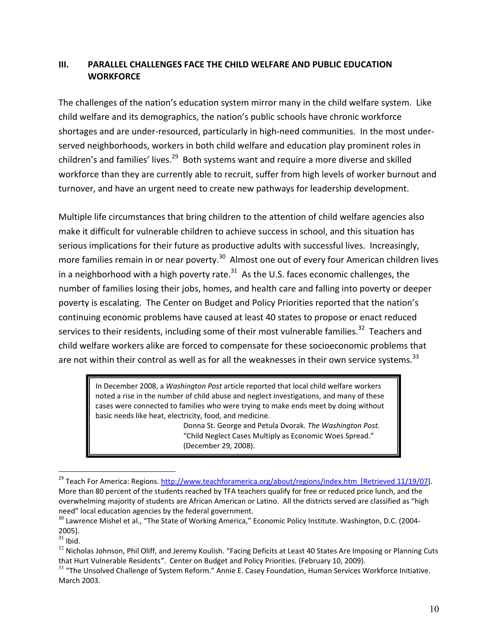#### $III.$ **PARALLEL CHALLENGES FACE THE CHILD WELFARE AND PUBLIC EDUCATION WORKFORCE**

The challenges of the nation's education system mirror many in the child welfare system. Like child welfare and its demographics, the nation's public schools have chronic workforce shortages and are under-resourced, particularly in high-need communities. In the most underserved neighborhoods, workers in both child welfare and education play prominent roles in children's and families' lives.<sup>29</sup> Both systems want and require a more diverse and skilled workforce than they are currently able to recruit, suffer from high levels of worker burnout and turnover, and have an urgent need to create new pathways for leadership development.

Multiple life circumstances that bring children to the attention of child welfare agencies also make it difficult for vulnerable children to achieve success in school, and this situation has serious implications for their future as productive adults with successful lives. Increasingly, more families remain in or near poverty.<sup>30</sup> Almost one out of every four American children lives in a neighborhood with a high poverty rate. $^{31}$  As the U.S. faces economic challenges, the number of families losing their jobs, homes, and health care and falling into poverty or deeper poverty is escalating. The Center on Budget and Policy Priorities reported that the nation's continuing economic problems have caused at least 40 states to propose or enact reduced services to their residents, including some of their most vulnerable families.<sup>32</sup> Teachers and child welfare workers alike are forced to compensate for these socioeconomic problems that are not within their control as well as for all the weaknesses in their own service systems.<sup>33</sup>

In December 2008, a Washington Post article reported that local child welfare workers noted a rise in the number of child abuse and neglect investigations, and many of these cases were connected to families who were trying to make ends meet by doing without basic needs like heat, electricity, food, and medicine.

Donna St. George and Petula Dvorak. The Washington Post. "Child Neglect Cases Multiply as Economic Woes Spread." (December 29, 2008).

<sup>&</sup>lt;sup>29</sup> Teach For America: Regions. http://www.teachforamerica.org/about/regions/index.htm [Retrieved 11/19/07]. More than 80 percent of the students reached by TFA teachers qualify for free or reduced price lunch, and the overwhelming majority of students are African American or Latino. All the districts served are classified as "high need" local education agencies by the federal government.

<sup>&</sup>lt;sup>30</sup> Lawrence Mishel et al., "The State of Working America," Economic Policy Institute. Washington, D.C. (2004- $2005$ ).

 $31$  Ibid.

 $32$  Nicholas Johnson, Phil Oliff, and Jeremy Koulish. "Facing Deficits at Least 40 States Are Imposing or Planning Cuts that Hurt Vulnerable Residents". Center on Budget and Policy Priorities. (February 10, 2009).

<sup>&</sup>lt;sup>33</sup> "The Unsolved Challenge of System Reform." Annie E. Casey Foundation, Human Services Workforce Initiative. March 2003.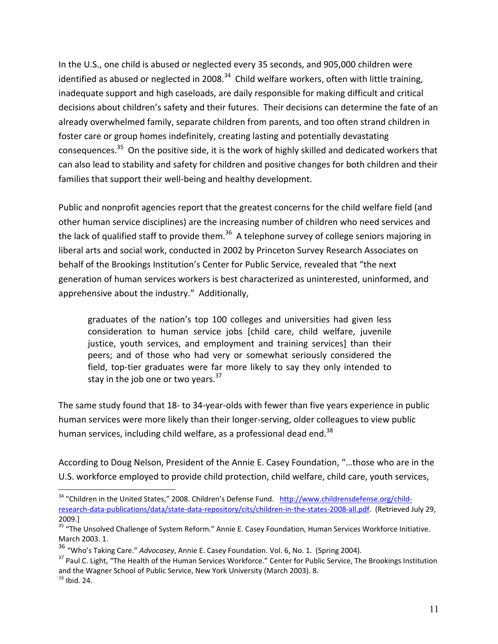In the U.S., one child is abused or neglected every 35 seconds, and 905,000 children were identified as abused or neglected in 2008.<sup>34</sup> Child welfare workers, often with little training, inadequate support and high caseloads, are daily responsible for making difficult and critical decisions about children's safety and their futures. Their decisions can determine the fate of an already overwhelmed family, separate children from parents, and too often strand children in foster care or group homes indefinitely, creating lasting and potentially devastating consequences.<sup>35</sup> On the positive side, it is the work of highly skilled and dedicated workers that can also lead to stability and safety for children and positive changes for both children and their families that support their well-being and healthy development.

Public and nonprofit agencies report that the greatest concerns for the child welfare field (and other human service disciplines) are the increasing number of children who need services and the lack of qualified staff to provide them.<sup>36</sup> A telephone survey of college seniors majoring in liberal arts and social work, conducted in 2002 by Princeton Survey Research Associates on behalf of the Brookings Institution's Center for Public Service, revealed that "the next generation of human services workers is best characterized as uninterested, uninformed, and apprehensive about the industry." Additionally,

graduates of the nation's top 100 colleges and universities had given less consideration to human service jobs [child care, child welfare, juvenile justice, youth services, and employment and training services] than their peers; and of those who had very or somewhat seriously considered the field, top-tier graduates were far more likely to say they only intended to stay in the job one or two years.<sup>37</sup>

The same study found that 18- to 34-year-olds with fewer than five years experience in public human services were more likely than their longer-serving, older colleagues to view public human services, including child welfare, as a professional dead end.<sup>38</sup>

According to Doug Nelson, President of the Annie E. Casey Foundation, "...those who are in the U.S. workforce employed to provide child protection, child welfare, child care, youth services,

<sup>&</sup>lt;sup>34</sup> "Children in the United States," 2008. Children's Defense Fund. http://www.childrensdefense.org/childresearch-data-publications/data/state-data-repository/cits/children-in-the-states-2008-all.pdf. (Retrieved July 29, 2009.]

<sup>&</sup>lt;sup>35</sup> "The Unsolved Challenge of System Reform." Annie E. Casey Foundation, Human Services Workforce Initiative. March 2003. 1.

<sup>&</sup>lt;sup>36</sup> "Who's Taking Care." Advocasey, Annie E. Casey Foundation. Vol. 6, No. 1. (Spring 2004).

<sup>&</sup>lt;sup>37</sup> Paul C. Light, "The Health of the Human Services Workforce." Center for Public Service, The Brookings Institution and the Wagner School of Public Service, New York University (March 2003). 8.  $38$  Ibid. 24.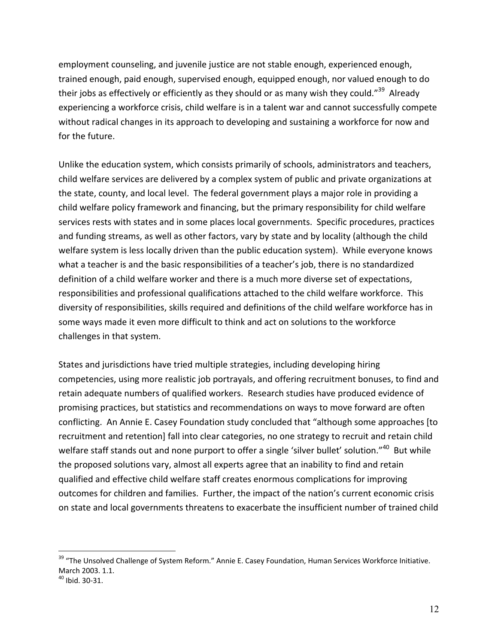employment counseling, and juvenile justice are not stable enough, experienced enough, trained enough, paid enough, supervised enough, equipped enough, nor valued enough to do their jobs as effectively or efficiently as they should or as many wish they could."<sup>39</sup> Already experiencing a workforce crisis, child welfare is in a talent war and cannot successfully compete without radical changes in its approach to developing and sustaining a workforce for now and for the future.

Unlike the education system, which consists primarily of schools, administrators and teachers, child welfare services are delivered by a complex system of public and private organizations at the state, county, and local level. The federal government plays a major role in providing a child welfare policy framework and financing, but the primary responsibility for child welfare services rests with states and in some places local governments. Specific procedures, practices and funding streams, as well as other factors, vary by state and by locality (although the child welfare system is less locally driven than the public education system). While everyone knows what a teacher is and the basic responsibilities of a teacher's job, there is no standardized definition of a child welfare worker and there is a much more diverse set of expectations, responsibilities and professional qualifications attached to the child welfare workforce. This diversity of responsibilities, skills required and definitions of the child welfare workforce has in some ways made it even more difficult to think and act on solutions to the workforce challenges in that system.

States and jurisdictions have tried multiple strategies, including developing hiring competencies, using more realistic job portrayals, and offering recruitment bonuses, to find and retain adequate numbers of qualified workers. Research studies have produced evidence of promising practices, but statistics and recommendations on ways to move forward are often conflicting. An Annie E. Casey Foundation study concluded that "although some approaches [to] recruitment and retention] fall into clear categories, no one strategy to recruit and retain child welfare staff stands out and none purport to offer a single 'silver bullet' solution."<sup>40</sup> But while the proposed solutions vary, almost all experts agree that an inability to find and retain qualified and effective child welfare staff creates enormous complications for improving outcomes for children and families. Further, the impact of the nation's current economic crisis on state and local governments threatens to exacerbate the insufficient number of trained child

 $\overline{a}$ 

<sup>&</sup>lt;sup>39</sup> "The Unsolved Challenge of System Reform." Annie E. Casey Foundation, Human Services Workforce Initiative. March 2003. 1.1.<br><sup>40</sup> Ibid 30-31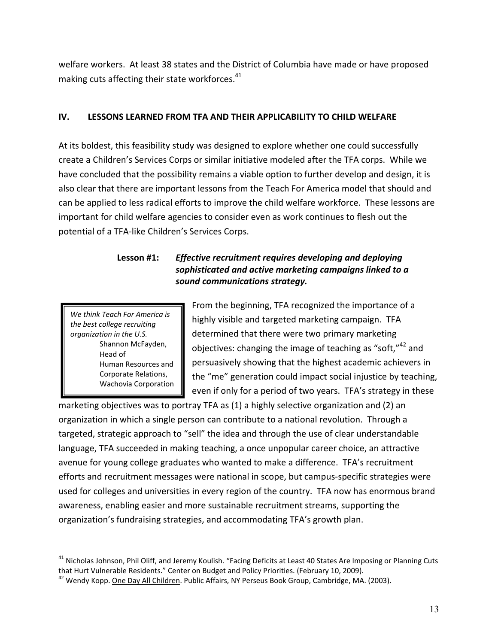welfare workers. At least 38 states and the District of Columbia have made or have proposed making cuts affecting their state workforces.<sup>41</sup>

#### IV. LESSONS LEARNED FROM TFA AND THEIR APPLICABILITY TO CHILD WELFARE

At its boldest, this feasibility study was designed to explore whether one could successfully create a Children's Services Corps or similar initiative modeled after the TFA corps. While we have concluded that the possibility remains a viable option to further develop and design, it is also clear that there are important lessons from the Teach For America model that should and can be applied to less radical efforts to improve the child welfare workforce. These lessons are important for child welfare agencies to consider even as work continues to flesh out the potential of a TFA-like Children's Services Corps.

### Lesson #1: Effective recruitment requires developing and deploying sophisticated and active marketing campaigns linked to a sound communications strategy.

We think Teach For America is the best college recruiting organization in the U.S. Shannon McFayden, Head of Human Resources and Corporate Relations, Wachovia Corporation

From the beginning, TFA recognized the importance of a highly visible and targeted marketing campaign. TFA determined that there were two primary marketing objectives: changing the image of teaching as "soft,"<sup>42</sup> and persuasively showing that the highest academic achievers in the "me" generation could impact social injustice by teaching, even if only for a period of two years. TFA's strategy in these

marketing objectives was to portray TFA as (1) a highly selective organization and (2) an organization in which a single person can contribute to a national revolution. Through a targeted, strategic approach to "sell" the idea and through the use of clear understandable language, TFA succeeded in making teaching, a once unpopular career choice, an attractive avenue for young college graduates who wanted to make a difference. TFA's recruitment efforts and recruitment messages were national in scope, but campus-specific strategies were used for colleges and universities in every region of the country. TFA now has enormous brand awareness, enabling easier and more sustainable recruitment streams, supporting the organization's fundraising strategies, and accommodating TFA's growth plan.

<sup>&</sup>lt;sup>41</sup> Nicholas Johnson, Phil Oliff, and Jeremy Koulish. "Facing Deficits at Least 40 States Are Imposing or Planning Cuts that Hurt Vulnerable Residents." Center on Budget and Policy Priorities. (February 10, 2009).

<sup>&</sup>lt;sup>42</sup> Wendy Kopp. One Day All Children. Public Affairs, NY Perseus Book Group, Cambridge, MA. (2003).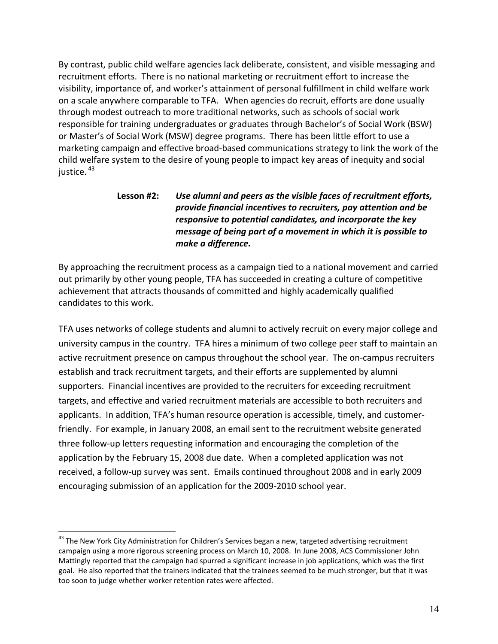By contrast, public child welfare agencies lack deliberate, consistent, and visible messaging and recruitment efforts. There is no national marketing or recruitment effort to increase the visibility, importance of, and worker's attainment of personal fulfillment in child welfare work on a scale anywhere comparable to TFA. When agencies do recruit, efforts are done usually through modest outreach to more traditional networks, such as schools of social work responsible for training undergraduates or graduates through Bachelor's of Social Work (BSW) or Master's of Social Work (MSW) degree programs. There has been little effort to use a marketing campaign and effective broad-based communications strategy to link the work of the child welfare system to the desire of young people to impact key areas of inequity and social iustice.<sup>43</sup>

### Lesson #2: Use alumni and peers as the visible faces of recruitment efforts, provide financial incentives to recruiters, pay attention and be responsive to potential candidates, and incorporate the key message of being part of a movement in which it is possible to make a difference.

By approaching the recruitment process as a campaign tied to a national movement and carried out primarily by other young people, TFA has succeeded in creating a culture of competitive achievement that attracts thousands of committed and highly academically qualified candidates to this work.

TFA uses networks of college students and alumni to actively recruit on every major college and university campus in the country. TFA hires a minimum of two college peer staff to maintain an active recruitment presence on campus throughout the school year. The on-campus recruiters establish and track recruitment targets, and their efforts are supplemented by alumni supporters. Financial incentives are provided to the recruiters for exceeding recruitment targets, and effective and varied recruitment materials are accessible to both recruiters and applicants. In addition, TFA's human resource operation is accessible, timely, and customerfriendly. For example, in January 2008, an email sent to the recruitment website generated three follow-up letters requesting information and encouraging the completion of the application by the February 15, 2008 due date. When a completed application was not received, a follow-up survey was sent. Emails continued throughout 2008 and in early 2009 encouraging submission of an application for the 2009-2010 school year.

<sup>&</sup>lt;sup>43</sup> The New York City Administration for Children's Services began a new, targeted advertising recruitment campaign using a more rigorous screening process on March 10, 2008. In June 2008, ACS Commissioner John Mattingly reported that the campaign had spurred a significant increase in job applications, which was the first goal. He also reported that the trainers indicated that the trainees seemed to be much stronger, but that it was too soon to judge whether worker retention rates were affected.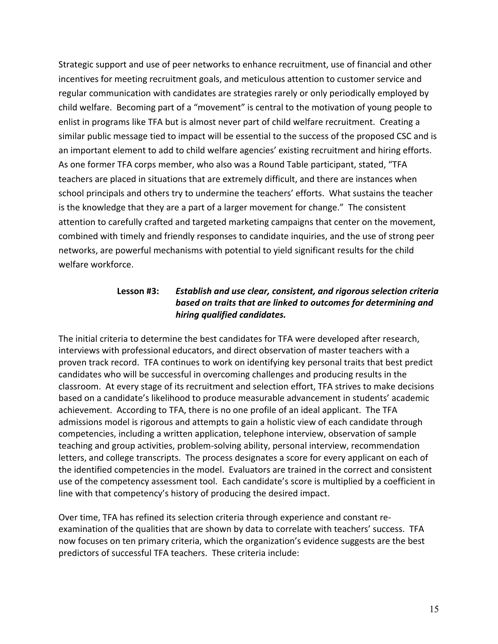Strategic support and use of peer networks to enhance recruitment, use of financial and other incentives for meeting recruitment goals, and meticulous attention to customer service and regular communication with candidates are strategies rarely or only periodically employed by child welfare. Becoming part of a "movement" is central to the motivation of young people to enlist in programs like TFA but is almost never part of child welfare recruitment. Creating a similar public message tied to impact will be essential to the success of the proposed CSC and is an important element to add to child welfare agencies' existing recruitment and hiring efforts. As one former TFA corps member, who also was a Round Table participant, stated, "TFA teachers are placed in situations that are extremely difficult, and there are instances when school principals and others try to undermine the teachers' efforts. What sustains the teacher is the knowledge that they are a part of a larger movement for change." The consistent attention to carefully crafted and targeted marketing campaigns that center on the movement, combined with timely and friendly responses to candidate inquiries, and the use of strong peer networks, are powerful mechanisms with potential to yield significant results for the child welfare workforce.

#### Lesson #3: Establish and use clear, consistent, and rigorous selection criteria based on traits that are linked to outcomes for determining and hiring qualified candidates.

The initial criteria to determine the best candidates for TFA were developed after research, interviews with professional educators, and direct observation of master teachers with a proven track record. TFA continues to work on identifying key personal traits that best predict candidates who will be successful in overcoming challenges and producing results in the classroom. At every stage of its recruitment and selection effort, TFA strives to make decisions based on a candidate's likelihood to produce measurable advancement in students' academic achievement. According to TFA, there is no one profile of an ideal applicant. The TFA admissions model is rigorous and attempts to gain a holistic view of each candidate through competencies, including a written application, telephone interview, observation of sample teaching and group activities, problem-solving ability, personal interview, recommendation letters, and college transcripts. The process designates a score for every applicant on each of the identified competencies in the model. Evaluators are trained in the correct and consistent use of the competency assessment tool. Each candidate's score is multiplied by a coefficient in line with that competency's history of producing the desired impact.

Over time, TFA has refined its selection criteria through experience and constant reexamination of the qualities that are shown by data to correlate with teachers' success. TFA now focuses on ten primary criteria, which the organization's evidence suggests are the best predictors of successful TFA teachers. These criteria include: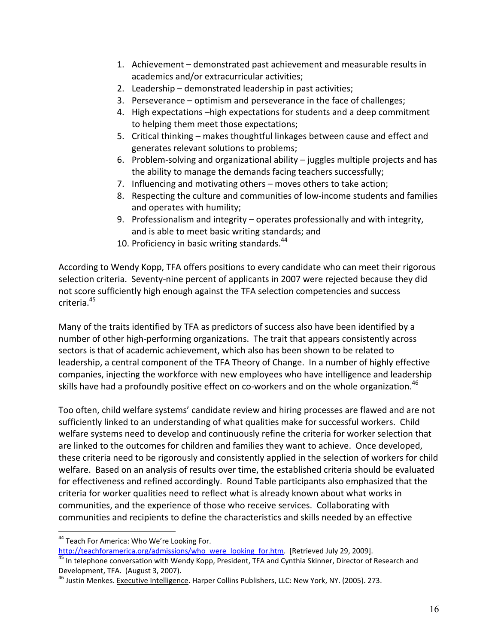- 1. Achievement demonstrated past achievement and measurable results in academics and/or extracurricular activities;
- 2. Leadership demonstrated leadership in past activities;
- 3. Perseverance optimism and perseverance in the face of challenges;
- 4. High expectations -high expectations for students and a deep commitment to helping them meet those expectations;
- 5. Critical thinking makes thoughtful linkages between cause and effect and generates relevant solutions to problems;
- 6. Problem-solving and organizational ability  $-$  juggles multiple projects and has the ability to manage the demands facing teachers successfully;
- 7. Influencing and motivating others moves others to take action;
- 8. Respecting the culture and communities of low-income students and families and operates with humility;
- 9. Professionalism and integrity operates professionally and with integrity, and is able to meet basic writing standards; and
- 10. Proficiency in basic writing standards.<sup>44</sup>

According to Wendy Kopp, TFA offers positions to every candidate who can meet their rigorous selection criteria. Seventy-nine percent of applicants in 2007 were rejected because they did not score sufficiently high enough against the TFA selection competencies and success criteria.<sup>45</sup>

Many of the traits identified by TFA as predictors of success also have been identified by a number of other high-performing organizations. The trait that appears consistently across sectors is that of academic achievement, which also has been shown to be related to leadership, a central component of the TFA Theory of Change. In a number of highly effective companies, injecting the workforce with new employees who have intelligence and leadership skills have had a profoundly positive effect on co-workers and on the whole organization.<sup>46</sup>

Too often, child welfare systems' candidate review and hiring processes are flawed and are not sufficiently linked to an understanding of what qualities make for successful workers. Child welfare systems need to develop and continuously refine the criteria for worker selection that are linked to the outcomes for children and families they want to achieve. Once developed, these criteria need to be rigorously and consistently applied in the selection of workers for child welfare. Based on an analysis of results over time, the established criteria should be evaluated for effectiveness and refined accordingly. Round Table participants also emphasized that the criteria for worker qualities need to reflect what is already known about what works in communities, and the experience of those who receive services. Collaborating with communities and recipients to define the characteristics and skills needed by an effective

<sup>&</sup>lt;sup>44</sup> Teach For America: Who We're Looking For.

http://teachforamerica.org/admissions/who were looking for.htm. [Retrieved July 29, 2009]. 45 In telephone conversation with Wendy Kopp, President, TFA and Cynthia Skinner, Director of Research and Development, TFA. (August 3, 2007).

<sup>&</sup>lt;sup>46</sup> Justin Menkes. Executive Intelligence. Harper Collins Publishers, LLC: New York, NY. (2005). 273.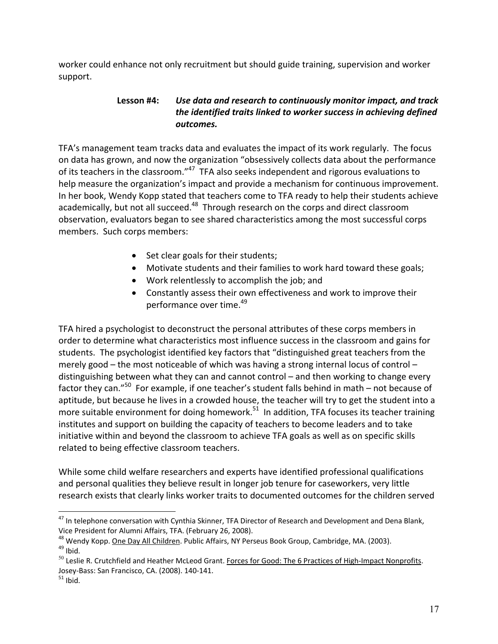worker could enhance not only recruitment but should guide training, supervision and worker support.

### Use data and research to continuously monitor impact, and track Lesson #4: the identified traits linked to worker success in achieving defined outcomes.

TFA's management team tracks data and evaluates the impact of its work regularly. The focus on data has grown, and now the organization "obsessively collects data about the performance of its teachers in the classroom."<sup>47</sup> TFA also seeks independent and rigorous evaluations to help measure the organization's impact and provide a mechanism for continuous improvement. In her book, Wendy Kopp stated that teachers come to TFA ready to help their students achieve academically, but not all succeed.<sup>48</sup> Through research on the corps and direct classroom observation, evaluators began to see shared characteristics among the most successful corps members. Such corps members:

- Set clear goals for their students;
- Motivate students and their families to work hard toward these goals;
- Work relentlessly to accomplish the job; and
- Constantly assess their own effectiveness and work to improve their performance over time.<sup>49</sup>

TFA hired a psychologist to deconstruct the personal attributes of these corps members in order to determine what characteristics most influence success in the classroom and gains for students. The psychologist identified key factors that "distinguished great teachers from the merely good – the most noticeable of which was having a strong internal locus of control – distinguishing between what they can and cannot control – and then working to change every factor they can."<sup>50</sup> For example, if one teacher's student falls behind in math – not because of aptitude, but because he lives in a crowded house, the teacher will try to get the student into a more suitable environment for doing homework.<sup>51</sup> In addition, TFA focuses its teacher training institutes and support on building the capacity of teachers to become leaders and to take initiative within and beyond the classroom to achieve TFA goals as well as on specific skills related to being effective classroom teachers.

While some child welfare researchers and experts have identified professional qualifications and personal qualities they believe result in longer job tenure for caseworkers, very little research exists that clearly links worker traits to documented outcomes for the children served

<sup>&</sup>lt;sup>47</sup> In telephone conversation with Cynthia Skinner, TFA Director of Research and Development and Dena Blank, Vice President for Alumni Affairs, TFA. (February 26, 2008).

<sup>&</sup>lt;sup>48</sup> Wendy Kopp. One Day All Children. Public Affairs, NY Perseus Book Group, Cambridge, MA. (2003).  $49$  Ibid.

<sup>&</sup>lt;sup>50</sup> Leslie R. Crutchfield and Heather McLeod Grant. Forces for Good: The 6 Practices of High-Impact Nonprofits. Josey-Bass: San Francisco, CA. (2008). 140-141.

 $51$  Ibid.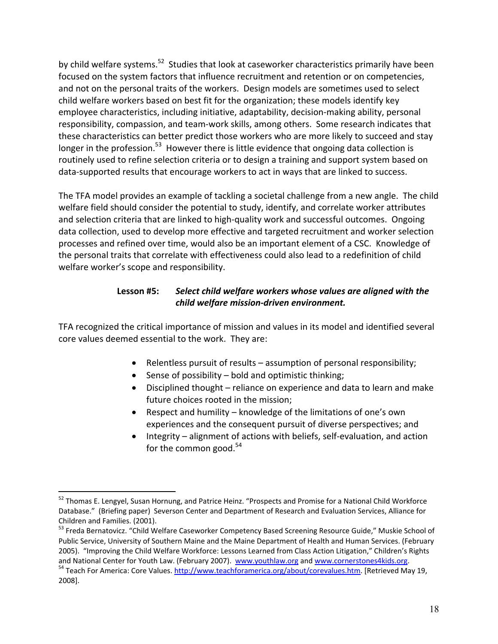by child welfare systems.<sup>52</sup> Studies that look at caseworker characteristics primarily have been focused on the system factors that influence recruitment and retention or on competencies, and not on the personal traits of the workers. Design models are sometimes used to select child welfare workers based on best fit for the organization; these models identify key employee characteristics, including initiative, adaptability, decision-making ability, personal responsibility, compassion, and team-work skills, among others. Some research indicates that these characteristics can better predict those workers who are more likely to succeed and stay longer in the profession.<sup>53</sup> However there is little evidence that ongoing data collection is routinely used to refine selection criteria or to design a training and support system based on data-supported results that encourage workers to act in ways that are linked to success.

The TFA model provides an example of tackling a societal challenge from a new angle. The child welfare field should consider the potential to study, identify, and correlate worker attributes and selection criteria that are linked to high-quality work and successful outcomes. Ongoing data collection, used to develop more effective and targeted recruitment and worker selection processes and refined over time, would also be an important element of a CSC. Knowledge of the personal traits that correlate with effectiveness could also lead to a redefinition of child welfare worker's scope and responsibility.

#### Select child welfare workers whose values are aligned with the Lesson #5: child welfare mission-driven environment.

TFA recognized the critical importance of mission and values in its model and identified several core values deemed essential to the work. They are:

- Relentless pursuit of results assumption of personal responsibility;
- Sense of possibility bold and optimistic thinking;
- Disciplined thought reliance on experience and data to learn and make future choices rooted in the mission;
- Respect and humility knowledge of the limitations of one's own experiences and the consequent pursuit of diverse perspectives; and
- Integrity alignment of actions with beliefs, self-evaluation, and action for the common good. $54$

<sup>&</sup>lt;sup>52</sup> Thomas E. Lengyel, Susan Hornung, and Patrice Heinz. "Prospects and Promise for a National Child Workforce Database." (Briefing paper) Severson Center and Department of Research and Evaluation Services, Alliance for Children and Families. (2001).

<sup>53</sup> Freda Bernatovicz. "Child Welfare Caseworker Competency Based Screening Resource Guide," Muskie School of Public Service, University of Southern Maine and the Maine Department of Health and Human Services. (February 2005). "Improving the Child Welfare Workforce: Lessons Learned from Class Action Litigation," Children's Rights and National Center for Youth Law. (February 2007). www.youthlaw.org and www.cornerstones4kids.org.

<sup>&</sup>lt;sup>54</sup> Teach For America: Core Values. http://www.teachforamerica.org/about/corevalues.htm. [Retrieved May 19, 2008].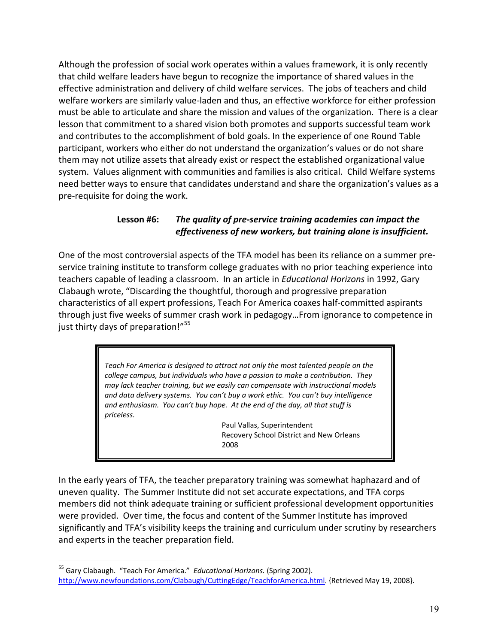Although the profession of social work operates within a values framework, it is only recently that child welfare leaders have begun to recognize the importance of shared values in the effective administration and delivery of child welfare services. The jobs of teachers and child welfare workers are similarly value-laden and thus, an effective workforce for either profession must be able to articulate and share the mission and values of the organization. There is a clear lesson that commitment to a shared vision both promotes and supports successful team work and contributes to the accomplishment of bold goals. In the experience of one Round Table participant, workers who either do not understand the organization's values or do not share them may not utilize assets that already exist or respect the established organizational value system. Values alignment with communities and families is also critical. Child Welfare systems need better ways to ensure that candidates understand and share the organization's values as a pre-requisite for doing the work.

#### Lesson #6: The quality of pre-service training academies can impact the effectiveness of new workers, but training alone is insufficient.

One of the most controversial aspects of the TFA model has been its reliance on a summer preservice training institute to transform college graduates with no prior teaching experience into teachers capable of leading a classroom. In an article in *Educational Horizons* in 1992, Gary Clabaugh wrote, "Discarding the thoughtful, thorough and progressive preparation characteristics of all expert professions, Teach For America coaxes half-committed aspirants through just five weeks of summer crash work in pedagogy...From ignorance to competence in just thirty days of preparation!"<sup>55</sup>

> Teach For America is designed to attract not only the most talented people on the college campus, but individuals who have a passion to make a contribution. They may lack teacher training, but we easily can compensate with instructional models and data delivery systems. You can't buy a work ethic. You can't buy intelligence and enthusiasm. You can't buy hope. At the end of the day, all that stuff is priceless.

> > Paul Vallas, Superintendent Recovery School District and New Orleans 2008

In the early years of TFA, the teacher preparatory training was somewhat haphazard and of uneven quality. The Summer Institute did not set accurate expectations, and TFA corps members did not think adequate training or sufficient professional development opportunities were provided. Over time, the focus and content of the Summer Institute has improved significantly and TFA's visibility keeps the training and curriculum under scrutiny by researchers and experts in the teacher preparation field.

<sup>&</sup>lt;sup>55</sup> Gary Clabaugh. "Teach For America." Educational Horizons. (Spring 2002). http://www.newfoundations.com/Clabaugh/CuttingEdge/TeachforAmerica.html. {Retrieved May 19, 2008}.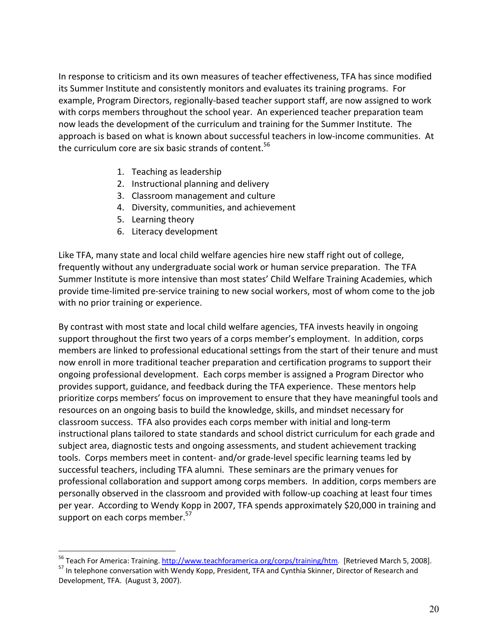In response to criticism and its own measures of teacher effectiveness, TFA has since modified its Summer Institute and consistently monitors and evaluates its training programs. For example, Program Directors, regionally-based teacher support staff, are now assigned to work with corps members throughout the school year. An experienced teacher preparation team now leads the development of the curriculum and training for the Summer Institute. The approach is based on what is known about successful teachers in low-income communities. At the curriculum core are six basic strands of content.<sup>56</sup>

- 1. Teaching as leadership
- 2. Instructional planning and delivery
- 3. Classroom management and culture
- 4. Diversity, communities, and achievement
- 5. Learning theory
- 6. Literacy development

Like TFA, many state and local child welfare agencies hire new staff right out of college, frequently without any undergraduate social work or human service preparation. The TFA Summer Institute is more intensive than most states' Child Welfare Training Academies, which provide time-limited pre-service training to new social workers, most of whom come to the job with no prior training or experience.

By contrast with most state and local child welfare agencies, TFA invests heavily in ongoing support throughout the first two years of a corps member's employment. In addition, corps members are linked to professional educational settings from the start of their tenure and must now enroll in more traditional teacher preparation and certification programs to support their ongoing professional development. Each corps member is assigned a Program Director who provides support, guidance, and feedback during the TFA experience. These mentors help prioritize corps members' focus on improvement to ensure that they have meaningful tools and resources on an ongoing basis to build the knowledge, skills, and mindset necessary for classroom success. TFA also provides each corps member with initial and long-term instructional plans tailored to state standards and school district curriculum for each grade and subject area, diagnostic tests and ongoing assessments, and student achievement tracking tools. Corps members meet in content- and/or grade-level specific learning teams led by successful teachers, including TFA alumni. These seminars are the primary venues for professional collaboration and support among corps members. In addition, corps members are personally observed in the classroom and provided with follow-up coaching at least four times per year. According to Wendy Kopp in 2007, TFA spends approximately \$20,000 in training and support on each corps member.<sup>57</sup>

<sup>&</sup>lt;sup>56</sup> Teach For America: Training. http://www.teachforamerica.org/corps/training/htm. [Retrieved March 5, 2008].

<sup>&</sup>lt;sup>57</sup> In telephone conversation with Wendy Kopp, President, TFA and Cynthia Skinner, Director of Research and Development, TFA. (August 3, 2007).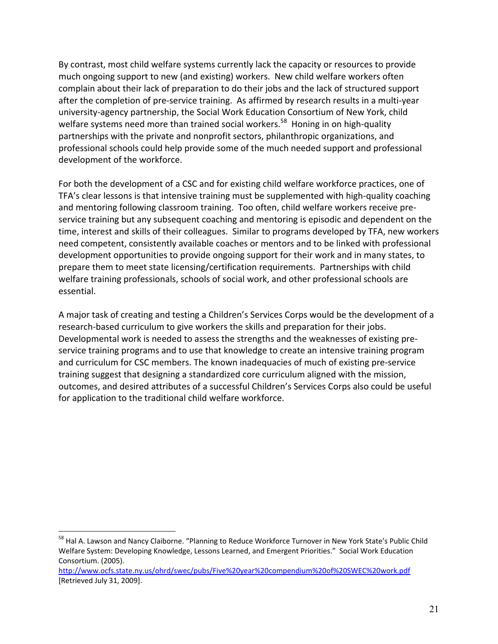By contrast, most child welfare systems currently lack the capacity or resources to provide much ongoing support to new (and existing) workers. New child welfare workers often complain about their lack of preparation to do their jobs and the lack of structured support after the completion of pre-service training. As affirmed by research results in a multi-year university-agency partnership, the Social Work Education Consortium of New York, child welfare systems need more than trained social workers.<sup>58</sup> Honing in on high-quality partnerships with the private and nonprofit sectors, philanthropic organizations, and professional schools could help provide some of the much needed support and professional development of the workforce.

For both the development of a CSC and for existing child welfare workforce practices, one of TFA's clear lessons is that intensive training must be supplemented with high-quality coaching and mentoring following classroom training. Too often, child welfare workers receive preservice training but any subsequent coaching and mentoring is episodic and dependent on the time, interest and skills of their colleagues. Similar to programs developed by TFA, new workers need competent, consistently available coaches or mentors and to be linked with professional development opportunities to provide ongoing support for their work and in many states, to prepare them to meet state licensing/certification requirements. Partnerships with child welfare training professionals, schools of social work, and other professional schools are essential.

A major task of creating and testing a Children's Services Corps would be the development of a research-based curriculum to give workers the skills and preparation for their jobs. Developmental work is needed to assess the strengths and the weaknesses of existing preservice training programs and to use that knowledge to create an intensive training program and curriculum for CSC members. The known inadequacies of much of existing pre-service training suggest that designing a standardized core curriculum aligned with the mission, outcomes, and desired attributes of a successful Children's Services Corps also could be useful for application to the traditional child welfare workforce.

<sup>&</sup>lt;sup>58</sup> Hal A. Lawson and Nancy Claiborne. "Planning to Reduce Workforce Turnover in New York State's Public Child Welfare System: Developing Knowledge, Lessons Learned, and Emergent Priorities." Social Work Education Consortium. (2005).

http://www.ocfs.state.ny.us/ohrd/swec/pubs/Five%20year%20compendium%20of%20SWEC%20work.pdf [Retrieved July 31, 2009].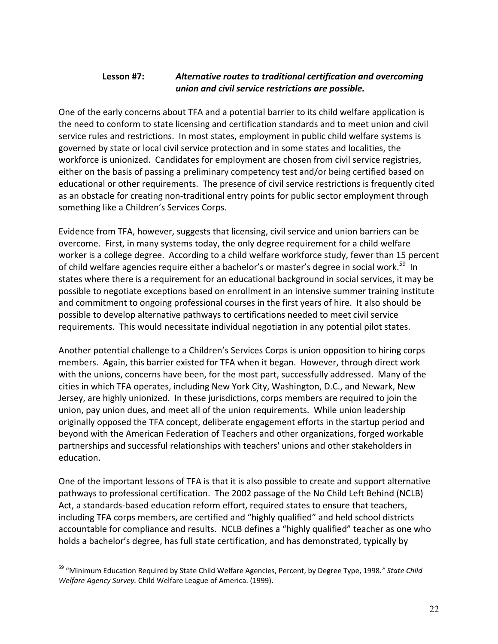#### Alternative routes to traditional certification and overcoming Lesson #7: union and civil service restrictions are possible.

One of the early concerns about TFA and a potential barrier to its child welfare application is the need to conform to state licensing and certification standards and to meet union and civil service rules and restrictions. In most states, employment in public child welfare systems is governed by state or local civil service protection and in some states and localities, the workforce is unionized. Candidates for employment are chosen from civil service registries, either on the basis of passing a preliminary competency test and/or being certified based on educational or other requirements. The presence of civil service restrictions is frequently cited as an obstacle for creating non-traditional entry points for public sector employment through something like a Children's Services Corps.

Evidence from TFA, however, suggests that licensing, civil service and union barriers can be overcome. First, in many systems today, the only degree requirement for a child welfare worker is a college degree. According to a child welfare workforce study, fewer than 15 percent of child welfare agencies require either a bachelor's or master's degree in social work.<sup>59</sup> In states where there is a requirement for an educational background in social services, it may be possible to negotiate exceptions based on enrollment in an intensive summer training institute and commitment to ongoing professional courses in the first years of hire. It also should be possible to develop alternative pathways to certifications needed to meet civil service requirements. This would necessitate individual negotiation in any potential pilot states.

Another potential challenge to a Children's Services Corps is union opposition to hiring corps members. Again, this barrier existed for TFA when it began. However, through direct work with the unions, concerns have been, for the most part, successfully addressed. Many of the cities in which TFA operates, including New York City, Washington, D.C., and Newark, New Jersey, are highly unionized. In these jurisdictions, corps members are required to join the union, pay union dues, and meet all of the union requirements. While union leadership originally opposed the TFA concept, deliberate engagement efforts in the startup period and beyond with the American Federation of Teachers and other organizations, forged workable partnerships and successful relationships with teachers' unions and other stakeholders in education.

One of the important lessons of TFA is that it is also possible to create and support alternative pathways to professional certification. The 2002 passage of the No Child Left Behind (NCLB) Act, a standards-based education reform effort, required states to ensure that teachers, including TFA corps members, are certified and "highly qualified" and held school districts accountable for compliance and results. NCLB defines a "highly qualified" teacher as one who holds a bachelor's degree, has full state certification, and has demonstrated, typically by

<sup>&</sup>lt;sup>59</sup> "Minimum Education Required by State Child Welfare Agencies, Percent, by Degree Type, 1998." State Child Welfare Agency Survey. Child Welfare League of America. (1999).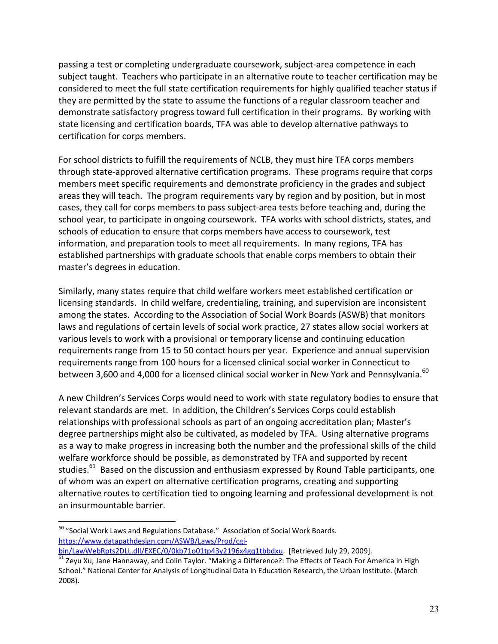passing a test or completing undergraduate coursework, subject-area competence in each subject taught. Teachers who participate in an alternative route to teacher certification may be considered to meet the full state certification requirements for highly qualified teacher status if they are permitted by the state to assume the functions of a regular classroom teacher and demonstrate satisfactory progress toward full certification in their programs. By working with state licensing and certification boards, TFA was able to develop alternative pathways to certification for corps members.

For school districts to fulfill the requirements of NCLB, they must hire TFA corps members through state-approved alternative certification programs. These programs require that corps members meet specific requirements and demonstrate proficiency in the grades and subject areas they will teach. The program requirements vary by region and by position, but in most cases, they call for corps members to pass subject-area tests before teaching and, during the school year, to participate in ongoing coursework. TFA works with school districts, states, and schools of education to ensure that corps members have access to coursework, test information, and preparation tools to meet all requirements. In many regions, TFA has established partnerships with graduate schools that enable corps members to obtain their master's degrees in education.

Similarly, many states require that child welfare workers meet established certification or licensing standards. In child welfare, credentialing, training, and supervision are inconsistent among the states. According to the Association of Social Work Boards (ASWB) that monitors laws and regulations of certain levels of social work practice, 27 states allow social workers at various levels to work with a provisional or temporary license and continuing education requirements range from 15 to 50 contact hours per year. Experience and annual supervision requirements range from 100 hours for a licensed clinical social worker in Connecticut to between 3,600 and 4,000 for a licensed clinical social worker in New York and Pennsylvania.<sup>60</sup>

A new Children's Services Corps would need to work with state regulatory bodies to ensure that relevant standards are met. In addition, the Children's Services Corps could establish relationships with professional schools as part of an ongoing accreditation plan; Master's degree partnerships might also be cultivated, as modeled by TFA. Using alternative programs as a way to make progress in increasing both the number and the professional skills of the child welfare workforce should be possible, as demonstrated by TFA and supported by recent studies.<sup>61</sup> Based on the discussion and enthusiasm expressed by Round Table participants, one of whom was an expert on alternative certification programs, creating and supporting alternative routes to certification tied to ongoing learning and professional development is not an insurmountable barrier.

 $\overline{a}$  $^{60}$  "Social Work Laws and Regulations Database." Association of Social Work Boards. https://www.datapathdesign.com/ASWB/Laws/Prod/cgi-<br>bin/LawWebRpts2DLL.dll/EXEC/0/0kb71o01tp43y2196x4gq1tbbdxu. [Retrieved July 29, 2009].

 $\frac{61}{61}$  Zevu Xu, Jane Hannaway, and Colin Taylor. "Making a Difference?: The Effects of Teach For America in High School." National Center for Analysis of Longitudinal Data in Education Research, the Urban Institute. (March 2008).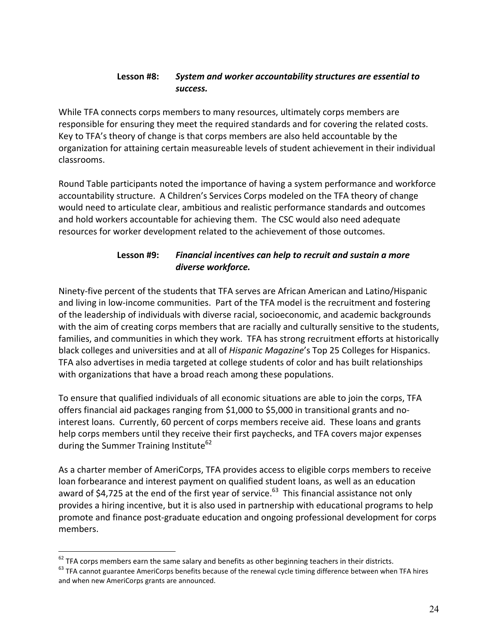#### Lesson #8: System and worker accountability structures are essential to success.

While TFA connects corps members to many resources, ultimately corps members are responsible for ensuring they meet the required standards and for covering the related costs. Key to TFA's theory of change is that corps members are also held accountable by the organization for attaining certain measureable levels of student achievement in their individual classrooms.

Round Table participants noted the importance of having a system performance and workforce accountability structure. A Children's Services Corps modeled on the TFA theory of change would need to articulate clear, ambitious and realistic performance standards and outcomes and hold workers accountable for achieving them. The CSC would also need adequate resources for worker development related to the achievement of those outcomes.

#### Financial incentives can help to recruit and sustain a more Lesson #9: diverse workforce.

Ninety-five percent of the students that TFA serves are African American and Latino/Hispanic and living in low-income communities. Part of the TFA model is the recruitment and fostering of the leadership of individuals with diverse racial, socioeconomic, and academic backgrounds with the aim of creating corps members that are racially and culturally sensitive to the students, families, and communities in which they work. TFA has strong recruitment efforts at historically black colleges and universities and at all of Hispanic Magazine's Top 25 Colleges for Hispanics. TFA also advertises in media targeted at college students of color and has built relationships with organizations that have a broad reach among these populations.

To ensure that qualified individuals of all economic situations are able to join the corps, TFA offers financial aid packages ranging from \$1,000 to \$5,000 in transitional grants and nointerest loans. Currently, 60 percent of corps members receive aid. These loans and grants help corps members until they receive their first paychecks, and TFA covers major expenses during the Summer Training Institute<sup>62</sup>

As a charter member of AmeriCorps, TFA provides access to eligible corps members to receive loan forbearance and interest payment on qualified student loans, as well as an education award of \$4,725 at the end of the first year of service.<sup>63</sup> This financial assistance not only provides a hiring incentive, but it is also used in partnership with educational programs to help promote and finance post-graduate education and ongoing professional development for corps members.

 $62$  TFA corps members earn the same salary and benefits as other beginning teachers in their districts.

 $63$  TFA cannot guarantee AmeriCorps benefits because of the renewal cycle timing difference between when TFA hires and when new AmeriCorps grants are announced.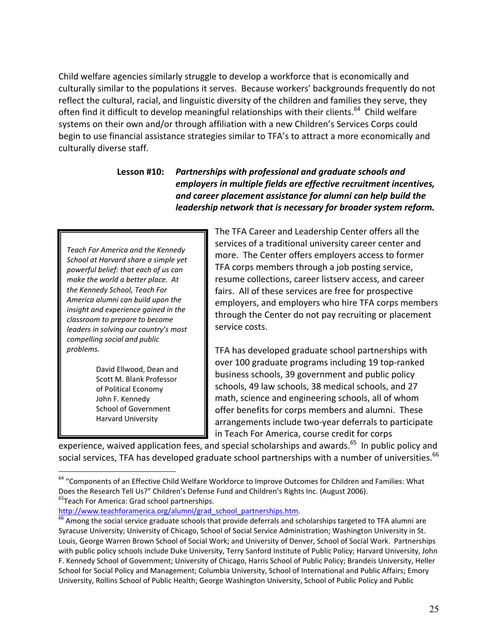Child welfare agencies similarly struggle to develop a workforce that is economically and culturally similar to the populations it serves. Because workers' backgrounds frequently do not reflect the cultural, racial, and linguistic diversity of the children and families they serve, they often find it difficult to develop meaningful relationships with their clients.<sup>64</sup> Child welfare systems on their own and/or through affiliation with a new Children's Services Corps could begin to use financial assistance strategies similar to TFA's to attract a more economically and culturally diverse staff.

### Partnerships with professional and graduate schools and Lesson #10: employers in multiple fields are effective recruitment incentives, and career placement assistance for alumni can help build the leadership network that is necessary for broader system reform.

Teach For America and the Kennedy School at Harvard share a simple yet powerful belief: that each of us can make the world a better place. At the Kennedy School, Teach For America alumni can build upon the insight and experience gained in the classroom to prepare to become leaders in solving our country's most compelling social and public problems.

> David Ellwood, Dean and Scott M. Blank Professor of Political Economy John F. Kennedy **School of Government Harvard University**

The TFA Career and Leadership Center offers all the services of a traditional university career center and more. The Center offers employers access to former TFA corps members through a job posting service, resume collections, career listserv access, and career fairs. All of these services are free for prospective employers, and employers who hire TFA corps members through the Center do not pay recruiting or placement service costs.

TFA has developed graduate school partnerships with over 100 graduate programs including 19 top-ranked business schools, 39 government and public policy schools, 49 law schools, 38 medical schools, and 27 math, science and engineering schools, all of whom offer benefits for corps members and alumni. These arrangements include two-year deferrals to participate in Teach For America, course credit for corps

experience, waived application fees, and special scholarships and awards.<sup>65</sup> In public policy and social services, TFA has developed graduate school partnerships with a number of universities.<sup>66</sup>

<sup>&</sup>lt;sup>64</sup> "Components of an Effective Child Welfare Workforce to Improve Outcomes for Children and Families: What Does the Research Tell Us?" Children's Defense Fund and Children's Rights Inc. (August 2006). <sup>65</sup>Teach For America: Grad school partnerships.

http://www.teachforamerica.org/alumni/grad\_school\_partnerships.htm.

 $<sup>66</sup>$  Among the social service graduate schools that provide deferrals and scholarships targeted to TFA alumni are</sup> Syracuse University; University of Chicago, School of Social Service Administration; Washington University in St. Louis, George Warren Brown School of Social Work; and University of Denver, School of Social Work. Partnerships with public policy schools include Duke University, Terry Sanford Institute of Public Policy; Harvard University, John F. Kennedy School of Government; University of Chicago, Harris School of Public Policy; Brandeis University, Heller School for Social Policy and Management; Columbia University, School of International and Public Affairs; Emory University, Rollins School of Public Health; George Washington University, School of Public Policy and Public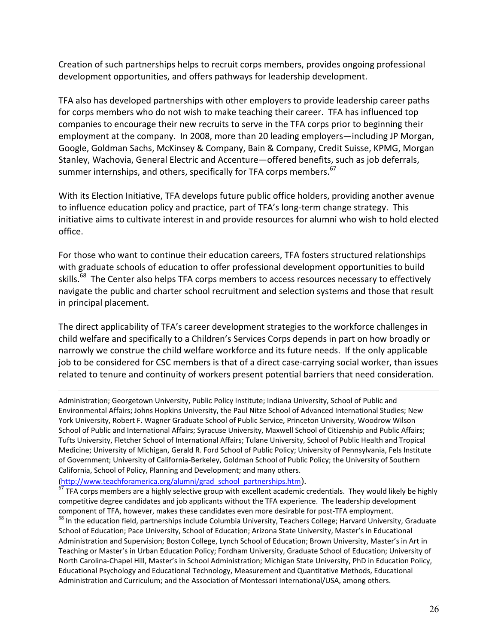Creation of such partnerships helps to recruit corps members, provides ongoing professional development opportunities, and offers pathways for leadership development.

TFA also has developed partnerships with other employers to provide leadership career paths for corps members who do not wish to make teaching their career. TFA has influenced top companies to encourage their new recruits to serve in the TFA corps prior to beginning their employment at the company. In 2008, more than 20 leading employers—including JP Morgan, Google, Goldman Sachs, McKinsey & Company, Bain & Company, Credit Suisse, KPMG, Morgan Stanley, Wachovia, General Electric and Accenture-offered benefits, such as job deferrals, summer internships, and others, specifically for TFA corps members.<sup>67</sup>

With its Election Initiative, TFA develops future public office holders, providing another avenue to influence education policy and practice, part of TFA's long-term change strategy. This initiative aims to cultivate interest in and provide resources for alumni who wish to hold elected office.

For those who want to continue their education careers, TFA fosters structured relationships with graduate schools of education to offer professional development opportunities to build skills.<sup>68</sup> The Center also helps TFA corps members to access resources necessary to effectively navigate the public and charter school recruitment and selection systems and those that result in principal placement.

The direct applicability of TFA's career development strategies to the workforce challenges in child welfare and specifically to a Children's Services Corps depends in part on how broadly or narrowly we construe the child welfare workforce and its future needs. If the only applicable job to be considered for CSC members is that of a direct case-carrying social worker, than issues related to tenure and continuity of workers present potential barriers that need consideration.

Administration; Georgetown University, Public Policy Institute; Indiana University, School of Public and Environmental Affairs; Johns Hopkins University, the Paul Nitze School of Advanced International Studies; New York University, Robert F. Wagner Graduate School of Public Service, Princeton University, Woodrow Wilson School of Public and International Affairs; Syracuse University, Maxwell School of Citizenship and Public Affairs; Tufts University, Fletcher School of International Affairs; Tulane University, School of Public Health and Tropical Medicine; University of Michigan, Gerald R. Ford School of Public Policy; University of Pennsylvania, Fels Institute of Government; University of California-Berkeley, Goldman School of Public Policy; the University of Southern California, School of Policy, Planning and Development; and many others.

 $(\frac{\text{http://www.teachforamerica.org/alumn/grad school partnerships.htm}}{67 \text{ tr.}})$ .

TFA corps members are a highly selective group with excellent academic credentials. They would likely be highly competitive degree candidates and job applicants without the TFA experience. The leadership development component of TFA, however, makes these candidates even more desirable for post-TFA employment. <sup>68</sup> In the education field, partnerships include Columbia University, Teachers College; Harvard University, Graduate School of Education; Pace University, School of Education; Arizona State University, Master's in Educational Administration and Supervision; Boston College, Lynch School of Education; Brown University, Master's in Art in Teaching or Master's in Urban Education Policy; Fordham University, Graduate School of Education; University of North Carolina-Chapel Hill, Master's in School Administration; Michigan State University, PhD in Education Policy, Educational Psychology and Educational Technology, Measurement and Quantitative Methods, Educational Administration and Curriculum; and the Association of Montessori International/USA, among others.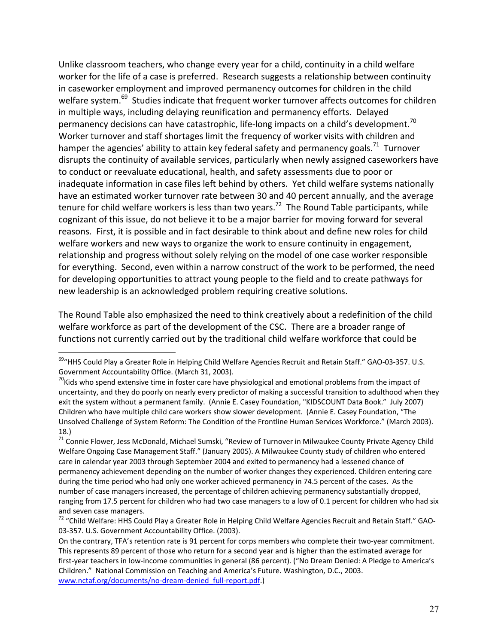Unlike classroom teachers, who change every year for a child, continuity in a child welfare worker for the life of a case is preferred. Research suggests a relationship between continuity in caseworker employment and improved permanency outcomes for children in the child welfare system.<sup>69</sup> Studies indicate that frequent worker turnover affects outcomes for children in multiple ways, including delaying reunification and permanency efforts. Delayed permanency decisions can have catastrophic, life-long impacts on a child's development.<sup>70</sup> Worker turnover and staff shortages limit the frequency of worker visits with children and hamper the agencies' ability to attain key federal safety and permanency goals.<sup>71</sup> Turnover disrupts the continuity of available services, particularly when newly assigned caseworkers have to conduct or reevaluate educational, health, and safety assessments due to poor or inadequate information in case files left behind by others. Yet child welfare systems nationally have an estimated worker turnover rate between 30 and 40 percent annually, and the average tenure for child welfare workers is less than two years.<sup>72</sup> The Round Table participants, while cognizant of this issue, do not believe it to be a major barrier for moving forward for several reasons. First, it is possible and in fact desirable to think about and define new roles for child welfare workers and new ways to organize the work to ensure continuity in engagement, relationship and progress without solely relying on the model of one case worker responsible for everything. Second, even within a narrow construct of the work to be performed, the need for developing opportunities to attract young people to the field and to create pathways for new leadership is an acknowledged problem requiring creative solutions.

The Round Table also emphasized the need to think creatively about a redefinition of the child welfare workforce as part of the development of the CSC. There are a broader range of functions not currently carried out by the traditional child welfare workforce that could be

 $\overline{a}$ 

 $^{69}$ "HHS Could Play a Greater Role in Helping Child Welfare Agencies Recruit and Retain Staff." GAO-03-357. U.S. Government Accountability Office. (March 31, 2003).

 $\frac{70}{10}$ Kids who spend extensive time in foster care have physiological and emotional problems from the impact of uncertainty, and they do poorly on nearly every predictor of making a successful transition to adulthood when they exit the system without a permanent family. (Annie E. Casey Foundation, "KIDSCOUNT Data Book." July 2007) Children who have multiple child care workers show slower development. (Annie E. Casey Foundation, "The Unsolved Challenge of System Reform: The Condition of the Frontline Human Services Workforce." (March 2003). 18.)<br><sup>71</sup> Connie Flower, Jess McDonald, Michael Sumski, "Review of Turnover in Milwaukee County Private Agency Child

Welfare Ongoing Case Management Staff." (January 2005). A Milwaukee County study of children who entered care in calendar year 2003 through September 2004 and exited to permanency had a lessened chance of permanency achievement depending on the number of worker changes they experienced. Children entering care during the time period who had only one worker achieved permanency in 74.5 percent of the cases. As the number of case managers increased, the percentage of children achieving permanency substantially dropped, ranging from 17.5 percent for children who had two case managers to a low of 0.1 percent for children who had six

and seven case managers.<br><sup>72</sup> "Child Welfare: HHS Could Play a Greater Role in Helping Child Welfare Agencies Recruit and Retain Staff." GAO-03-357. U.S. Government Accountability Office. (2003).

On the contrary, TFA's retention rate is 91 percent for corps members who complete their two-year commitment. This represents 89 percent of those who return for a second year and is higher than the estimated average for first-year teachers in low-income communities in general (86 percent). ("No Dream Denied: A Pledge to America's Children." National Commission on Teaching and America's Future. Washington, D.C., 2003. www.nctaf.org/documents/no-dream-denied full-report.pdf.)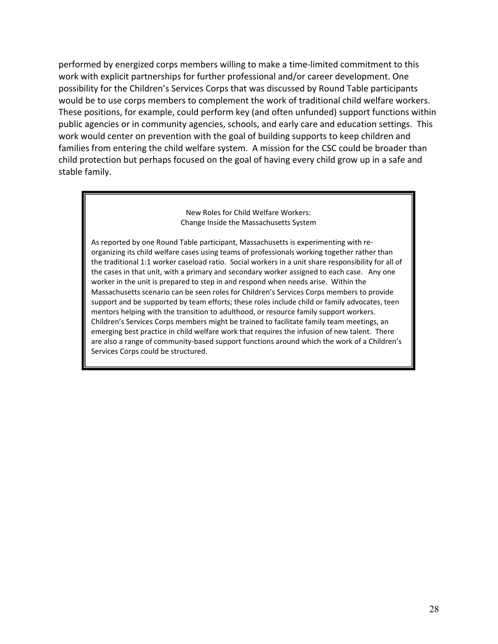performed by energized corps members willing to make a time-limited commitment to this work with explicit partnerships for further professional and/or career development. One possibility for the Children's Services Corps that was discussed by Round Table participants would be to use corps members to complement the work of traditional child welfare workers. These positions, for example, could perform key (and often unfunded) support functions within public agencies or in community agencies, schools, and early care and education settings. This work would center on prevention with the goal of building supports to keep children and families from entering the child welfare system. A mission for the CSC could be broader than child protection but perhaps focused on the goal of having every child grow up in a safe and stable family.

> New Roles for Child Welfare Workers: Change Inside the Massachusetts System

As reported by one Round Table participant, Massachusetts is experimenting with reorganizing its child welfare cases using teams of professionals working together rather than the traditional 1:1 worker caseload ratio. Social workers in a unit share responsibility for all of the cases in that unit, with a primary and secondary worker assigned to each case. Any one worker in the unit is prepared to step in and respond when needs arise. Within the Massachusetts scenario can be seen roles for Children's Services Corps members to provide support and be supported by team efforts; these roles include child or family advocates, teen mentors helping with the transition to adulthood, or resource family support workers. Children's Services Corps members might be trained to facilitate family team meetings, an emerging best practice in child welfare work that requires the infusion of new talent. There are also a range of community-based support functions around which the work of a Children's Services Corps could be structured.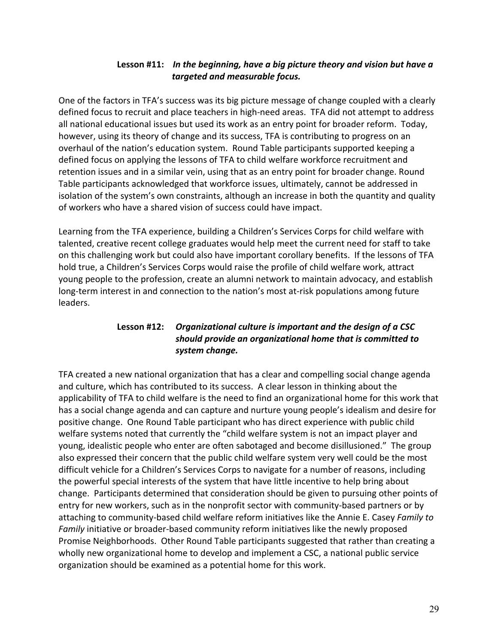# Lesson #11: In the beginning, have a big picture theory and vision but have a targeted and measurable focus.

One of the factors in TFA's success was its big picture message of change coupled with a clearly defined focus to recruit and place teachers in high-need areas. TFA did not attempt to address all national educational issues but used its work as an entry point for broader reform. Today, however, using its theory of change and its success, TFA is contributing to progress on an overhaul of the nation's education system. Round Table participants supported keeping a defined focus on applying the lessons of TFA to child welfare workforce recruitment and retention issues and in a similar vein, using that as an entry point for broader change. Round Table participants acknowledged that workforce issues, ultimately, cannot be addressed in isolation of the system's own constraints, although an increase in both the quantity and quality of workers who have a shared vision of success could have impact.

Learning from the TFA experience, building a Children's Services Corps for child welfare with talented, creative recent college graduates would help meet the current need for staff to take on this challenging work but could also have important corollary benefits. If the lessons of TFA hold true, a Children's Services Corps would raise the profile of child welfare work, attract young people to the profession, create an alumni network to maintain advocacy, and establish long-term interest in and connection to the nation's most at-risk populations among future leaders.

### Lesson #12: Organizational culture is important and the design of a CSC should provide an organizational home that is committed to system change.

TFA created a new national organization that has a clear and compelling social change agenda and culture, which has contributed to its success. A clear lesson in thinking about the applicability of TFA to child welfare is the need to find an organizational home for this work that has a social change agenda and can capture and nurture young people's idealism and desire for positive change. One Round Table participant who has direct experience with public child welfare systems noted that currently the "child welfare system is not an impact player and young, idealistic people who enter are often sabotaged and become disillusioned." The group also expressed their concern that the public child welfare system very well could be the most difficult vehicle for a Children's Services Corps to navigate for a number of reasons, including the powerful special interests of the system that have little incentive to help bring about change. Participants determined that consideration should be given to pursuing other points of entry for new workers, such as in the nonprofit sector with community-based partners or by attaching to community-based child welfare reform initiatives like the Annie E. Casey Family to Family initiative or broader-based community reform initiatives like the newly proposed Promise Neighborhoods. Other Round Table participants suggested that rather than creating a wholly new organizational home to develop and implement a CSC, a national public service organization should be examined as a potential home for this work.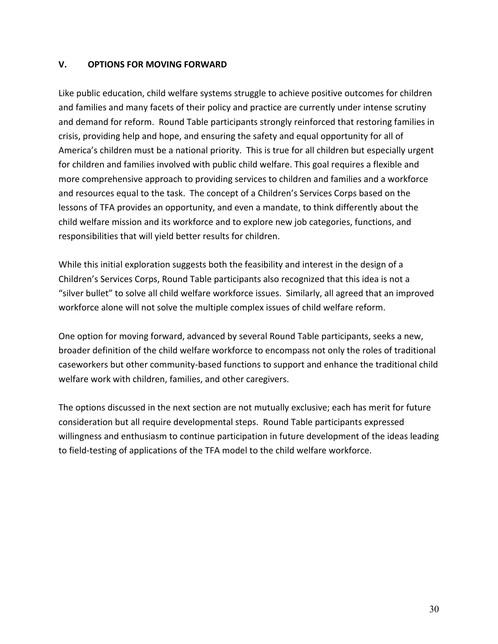#### V. **OPTIONS FOR MOVING FORWARD**

Like public education, child welfare systems struggle to achieve positive outcomes for children and families and many facets of their policy and practice are currently under intense scrutiny and demand for reform. Round Table participants strongly reinforced that restoring families in crisis, providing help and hope, and ensuring the safety and equal opportunity for all of America's children must be a national priority. This is true for all children but especially urgent for children and families involved with public child welfare. This goal requires a flexible and more comprehensive approach to providing services to children and families and a workforce and resources equal to the task. The concept of a Children's Services Corps based on the lessons of TFA provides an opportunity, and even a mandate, to think differently about the child welfare mission and its workforce and to explore new job categories, functions, and responsibilities that will yield better results for children.

While this initial exploration suggests both the feasibility and interest in the design of a Children's Services Corps, Round Table participants also recognized that this idea is not a "silver bullet" to solve all child welfare workforce issues. Similarly, all agreed that an improved workforce alone will not solve the multiple complex issues of child welfare reform.

One option for moving forward, advanced by several Round Table participants, seeks a new, broader definition of the child welfare workforce to encompass not only the roles of traditional caseworkers but other community-based functions to support and enhance the traditional child welfare work with children, families, and other caregivers.

The options discussed in the next section are not mutually exclusive; each has merit for future consideration but all require developmental steps. Round Table participants expressed willingness and enthusiasm to continue participation in future development of the ideas leading to field-testing of applications of the TFA model to the child welfare workforce.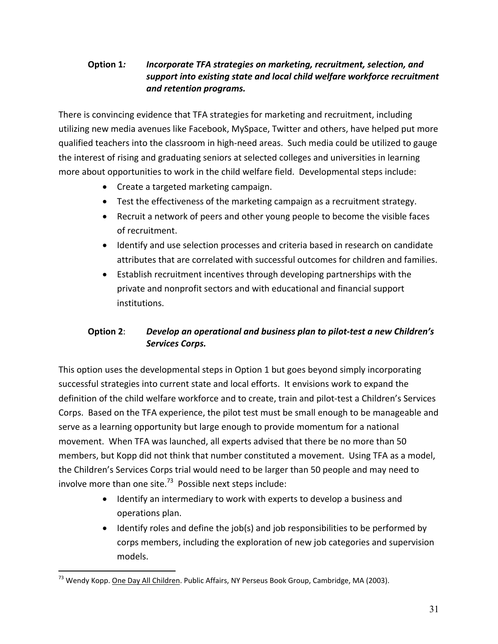### Option 1: Incorporate TFA strategies on marketing, recruitment, selection, and support into existing state and local child welfare workforce recruitment and retention programs.

There is convincing evidence that TFA strategies for marketing and recruitment, including utilizing new media avenues like Facebook, MySpace, Twitter and others, have helped put more qualified teachers into the classroom in high-need areas. Such media could be utilized to gauge the interest of rising and graduating seniors at selected colleges and universities in learning more about opportunities to work in the child welfare field. Developmental steps include:

- Create a targeted marketing campaign.
- Test the effectiveness of the marketing campaign as a recruitment strategy.
- Recruit a network of peers and other young people to become the visible faces of recruitment.
- Identify and use selection processes and criteria based in research on candidate attributes that are correlated with successful outcomes for children and families.
- Establish recruitment incentives through developing partnerships with the private and nonprofit sectors and with educational and financial support institutions.

#### **Option 2:** Develop an operational and business plan to pilot-test a new Children's **Services Corps.**

This option uses the developmental steps in Option 1 but goes beyond simply incorporating successful strategies into current state and local efforts. It envisions work to expand the definition of the child welfare workforce and to create, train and pilot-test a Children's Services Corps. Based on the TFA experience, the pilot test must be small enough to be manageable and serve as a learning opportunity but large enough to provide momentum for a national movement. When TFA was launched, all experts advised that there be no more than 50 members, but Kopp did not think that number constituted a movement. Using TFA as a model, the Children's Services Corps trial would need to be larger than 50 people and may need to involve more than one site.<sup>73</sup> Possible next steps include:

- Identify an intermediary to work with experts to develop a business and operations plan.
- Identify roles and define the job(s) and job responsibilities to be performed by corps members, including the exploration of new job categories and supervision models.

<sup>&</sup>lt;sup>73</sup> Wendy Kopp. One Day All Children. Public Affairs, NY Perseus Book Group, Cambridge, MA (2003).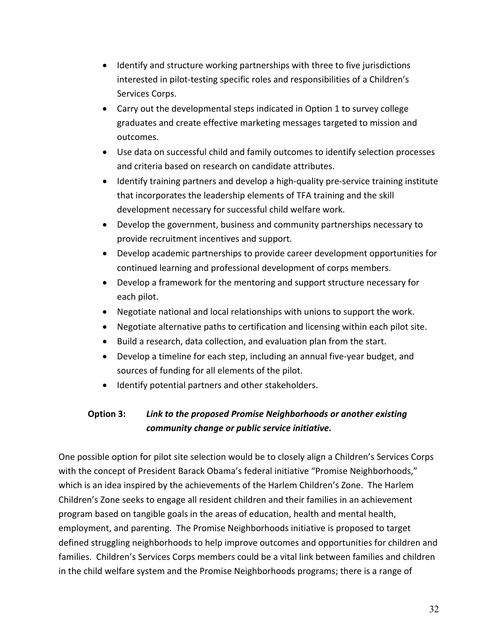- Identify and structure working partnerships with three to five jurisdictions interested in pilot-testing specific roles and responsibilities of a Children's Services Corps.
- Carry out the developmental steps indicated in Option 1 to survey college graduates and create effective marketing messages targeted to mission and outcomes.
- Use data on successful child and family outcomes to identify selection processes and criteria based on research on candidate attributes.
- Identify training partners and develop a high-quality pre-service training institute that incorporates the leadership elements of TFA training and the skill development necessary for successful child welfare work.
- Develop the government, business and community partnerships necessary to provide recruitment incentives and support.
- Develop academic partnerships to provide career development opportunities for continued learning and professional development of corps members.
- Develop a framework for the mentoring and support structure necessary for each pilot.
- Negotiate national and local relationships with unions to support the work.
- Negotiate alternative paths to certification and licensing within each pilot site.
- Build a research, data collection, and evaluation plan from the start.
- Develop a timeline for each step, including an annual five-year budget, and sources of funding for all elements of the pilot.
- Identify potential partners and other stakeholders.

#### Option 3: Link to the proposed Promise Neighborhoods or another existing community change or public service initiative.

One possible option for pilot site selection would be to closely align a Children's Services Corps with the concept of President Barack Obama's federal initiative "Promise Neighborhoods," which is an idea inspired by the achievements of the Harlem Children's Zone. The Harlem Children's Zone seeks to engage all resident children and their families in an achievement program based on tangible goals in the areas of education, health and mental health, employment, and parenting. The Promise Neighborhoods initiative is proposed to target defined struggling neighborhoods to help improve outcomes and opportunities for children and families. Children's Services Corps members could be a vital link between families and children in the child welfare system and the Promise Neighborhoods programs; there is a range of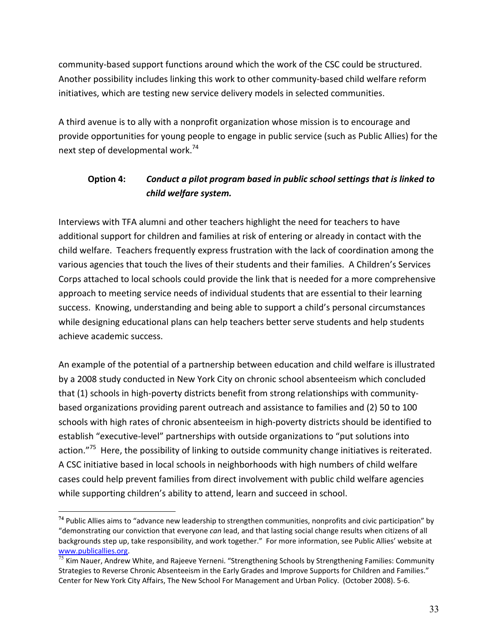community-based support functions around which the work of the CSC could be structured. Another possibility includes linking this work to other community-based child welfare reform initiatives, which are testing new service delivery models in selected communities.

A third avenue is to ally with a nonprofit organization whose mission is to encourage and provide opportunities for young people to engage in public service (such as Public Allies) for the next step of developmental work.<sup>74</sup>

#### Conduct a pilot program based in public school settings that is linked to **Option 4:** child welfare system.

Interviews with TFA alumni and other teachers highlight the need for teachers to have additional support for children and families at risk of entering or already in contact with the child welfare. Teachers frequently express frustration with the lack of coordination among the various agencies that touch the lives of their students and their families. A Children's Services Corps attached to local schools could provide the link that is needed for a more comprehensive approach to meeting service needs of individual students that are essential to their learning success. Knowing, understanding and being able to support a child's personal circumstances while designing educational plans can help teachers better serve students and help students achieve academic success.

An example of the potential of a partnership between education and child welfare is illustrated by a 2008 study conducted in New York City on chronic school absenteeism which concluded that (1) schools in high-poverty districts benefit from strong relationships with communitybased organizations providing parent outreach and assistance to families and (2) 50 to 100 schools with high rates of chronic absenteeism in high-poverty districts should be identified to establish "executive-level" partnerships with outside organizations to "put solutions into action."<sup>75</sup> Here, the possibility of linking to outside community change initiatives is reiterated. A CSC initiative based in local schools in neighborhoods with high numbers of child welfare cases could help prevent families from direct involvement with public child welfare agencies while supporting children's ability to attend, learn and succeed in school.

<sup>74</sup> Public Allies aims to "advance new leadership to strengthen communities, nonprofits and civic participation" by "demonstrating our conviction that everyone can lead, and that lasting social change results when citizens of all backgrounds step up, take responsibility, and work together." For more information, see Public Allies' website at www.publicallies.org.

 $\frac{75}{75}$  Kim Nauer, Andrew White, and Rajeeve Yerneni. "Strengthening Schools by Strengthening Families: Community Strategies to Reverse Chronic Absenteeism in the Early Grades and Improve Supports for Children and Families." Center for New York City Affairs, The New School For Management and Urban Policy. (October 2008). 5-6.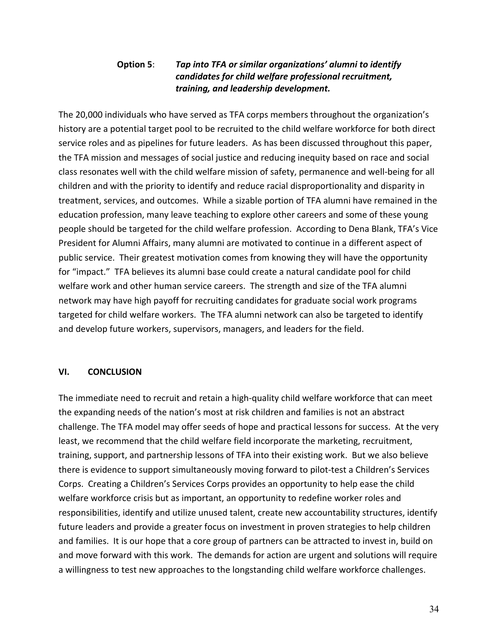### Tap into TFA or similar organizations' alumni to identify **Option 5:** candidates for child welfare professional recruitment, training, and leadership development.

The 20,000 individuals who have served as TFA corps members throughout the organization's history are a potential target pool to be recruited to the child welfare workforce for both direct service roles and as pipelines for future leaders. As has been discussed throughout this paper, the TFA mission and messages of social justice and reducing inequity based on race and social class resonates well with the child welfare mission of safety, permanence and well-being for all children and with the priority to identify and reduce racial disproportionality and disparity in treatment, services, and outcomes. While a sizable portion of TFA alumni have remained in the education profession, many leave teaching to explore other careers and some of these young people should be targeted for the child welfare profession. According to Dena Blank, TFA's Vice President for Alumni Affairs, many alumni are motivated to continue in a different aspect of public service. Their greatest motivation comes from knowing they will have the opportunity for "impact." TFA believes its alumni base could create a natural candidate pool for child welfare work and other human service careers. The strength and size of the TFA alumni network may have high payoff for recruiting candidates for graduate social work programs targeted for child welfare workers. The TFA alumni network can also be targeted to identify and develop future workers, supervisors, managers, and leaders for the field.

#### VI. **CONCLUSION**

The immediate need to recruit and retain a high-quality child welfare workforce that can meet the expanding needs of the nation's most at risk children and families is not an abstract challenge. The TFA model may offer seeds of hope and practical lessons for success. At the very least, we recommend that the child welfare field incorporate the marketing, recruitment, training, support, and partnership lessons of TFA into their existing work. But we also believe there is evidence to support simultaneously moving forward to pilot-test a Children's Services Corps. Creating a Children's Services Corps provides an opportunity to help ease the child welfare workforce crisis but as important, an opportunity to redefine worker roles and responsibilities, identify and utilize unused talent, create new accountability structures, identify future leaders and provide a greater focus on investment in proven strategies to help children and families. It is our hope that a core group of partners can be attracted to invest in, build on and move forward with this work. The demands for action are urgent and solutions will require a willingness to test new approaches to the longstanding child welfare workforce challenges.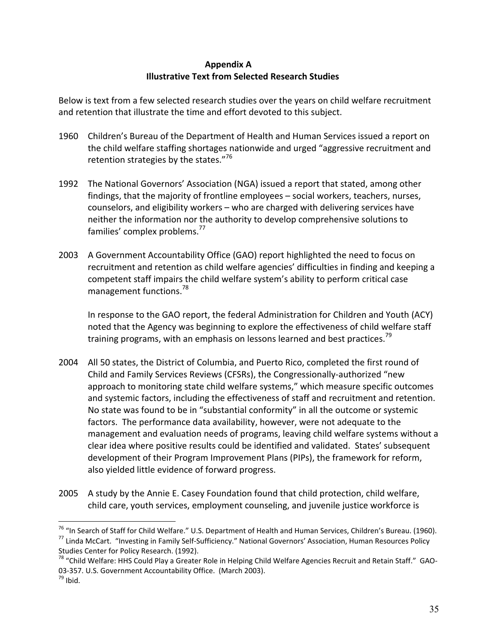# **Appendix A Illustrative Text from Selected Research Studies**

Below is text from a few selected research studies over the years on child welfare recruitment and retention that illustrate the time and effort devoted to this subject.

- Children's Bureau of the Department of Health and Human Services issued a report on 1960 the child welfare staffing shortages nationwide and urged "aggressive recruitment and retention strategies by the states."<sup>76</sup>
- 1992 The National Governors' Association (NGA) issued a report that stated, among other findings, that the majority of frontline employees - social workers, teachers, nurses, counselors, and eligibility workers - who are charged with delivering services have neither the information nor the authority to develop comprehensive solutions to families' complex problems.<sup>77</sup>
- 2003 A Government Accountability Office (GAO) report highlighted the need to focus on recruitment and retention as child welfare agencies' difficulties in finding and keeping a competent staff impairs the child welfare system's ability to perform critical case management functions.<sup>78</sup>

In response to the GAO report, the federal Administration for Children and Youth (ACY) noted that the Agency was beginning to explore the effectiveness of child welfare staff training programs, with an emphasis on lessons learned and best practices.<sup>79</sup>

- 2004 All 50 states, the District of Columbia, and Puerto Rico, completed the first round of Child and Family Services Reviews (CFSRs), the Congressionally-authorized "new approach to monitoring state child welfare systems," which measure specific outcomes and systemic factors, including the effectiveness of staff and recruitment and retention. No state was found to be in "substantial conformity" in all the outcome or systemic factors. The performance data availability, however, were not adequate to the management and evaluation needs of programs, leaving child welfare systems without a clear idea where positive results could be identified and validated. States' subsequent development of their Program Improvement Plans (PIPs), the framework for reform, also yielded little evidence of forward progress.
- A study by the Annie E. Casey Foundation found that child protection, child welfare, 2005 child care, youth services, employment counseling, and juvenile justice workforce is

<sup>&</sup>lt;sup>76</sup> "In Search of Staff for Child Welfare." U.S. Department of Health and Human Services, Children's Bureau. (1960). <sup>77</sup> Linda McCart. "Investing in Family Self-Sufficiency." National Governors' Association, Human Resources Policy Studies Center for Policy Research. (1992).

<sup>&</sup>lt;sup>78</sup> "Child Welfare: HHS Could Play a Greater Role in Helping Child Welfare Agencies Recruit and Retain Staff." GAO-03-357. U.S. Government Accountability Office. (March 2003).  $79$  Ibid.

<sup>35</sup>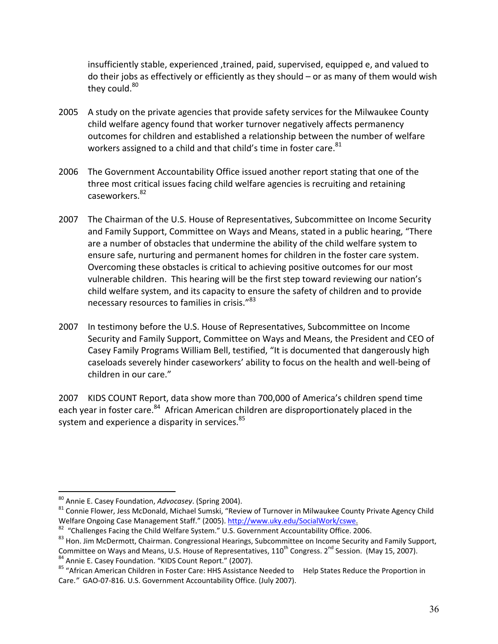insufficiently stable, experienced ,trained, paid, supervised, equipped e, and valued to do their jobs as effectively or efficiently as they should  $-$  or as many of them would wish they could.<sup>80</sup>

- 2005 A study on the private agencies that provide safety services for the Milwaukee County child welfare agency found that worker turnover negatively affects permanency outcomes for children and established a relationship between the number of welfare workers assigned to a child and that child's time in foster care.<sup>81</sup>
- 2006 The Government Accountability Office issued another report stating that one of the three most critical issues facing child welfare agencies is recruiting and retaining caseworkers.<sup>82</sup>
- 2007 The Chairman of the U.S. House of Representatives, Subcommittee on Income Security and Family Support, Committee on Ways and Means, stated in a public hearing, "There are a number of obstacles that undermine the ability of the child welfare system to ensure safe, nurturing and permanent homes for children in the foster care system. Overcoming these obstacles is critical to achieving positive outcomes for our most vulnerable children. This hearing will be the first step toward reviewing our nation's child welfare system, and its capacity to ensure the safety of children and to provide necessary resources to families in crisis."<sup>83</sup>
- 2007 In testimony before the U.S. House of Representatives, Subcommittee on Income Security and Family Support, Committee on Ways and Means, the President and CEO of Casey Family Programs William Bell, testified, "It is documented that dangerously high caseloads severely hinder caseworkers' ability to focus on the health and well-being of children in our care."

2007 KIDS COUNT Report, data show more than 700,000 of America's children spend time each year in foster care.<sup>84</sup> African American children are disproportionately placed in the system and experience a disparity in services.<sup>85</sup>

<sup>84</sup> Annie E. Casey Foundation. "KIDS Count Report." (2007).

<sup>80</sup> Annie E. Casey Foundation, Advocasey. (Spring 2004).

<sup>81</sup> Connie Flower, Jess McDonald, Michael Sumski, "Review of Turnover in Milwaukee County Private Agency Child Welfare Ongoing Case Management Staff." (2005). http://www.uky.edu/SocialWork/cswe.

<sup>&</sup>lt;sup>82</sup> "Challenges Facing the Child Welfare System." U.S. Government Accountability Office. 2006.

<sup>83</sup> Hon. Jim McDermott, Chairman. Congressional Hearings, Subcommittee on Income Security and Family Support, Committee on Ways and Means, U.S. House of Representatives, 110<sup>th</sup> Congress. 2<sup>nd</sup> Session. (May 15, 2007).

<sup>&</sup>lt;sup>85</sup> "African American Children in Foster Care: HHS Assistance Needed to Help States Reduce the Proportion in Care." GAO-07-816. U.S. Government Accountability Office. (July 2007).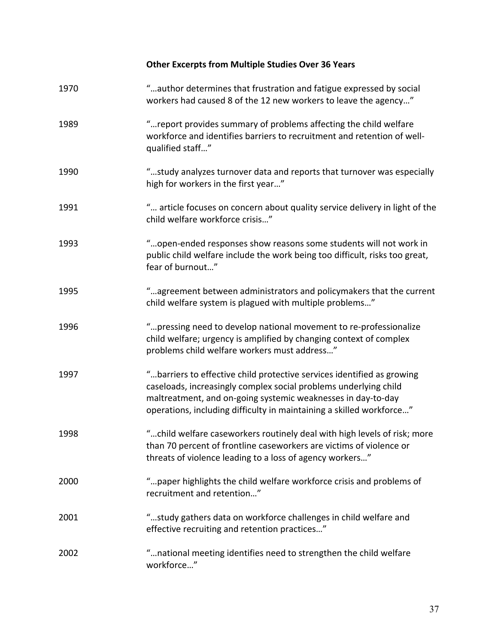# Other Excerpts from Multiple Studies Over 36 Years

| 1970 | "author determines that frustration and fatigue expressed by social<br>workers had caused 8 of the 12 new workers to leave the agency"                                                                                                                                             |
|------|------------------------------------------------------------------------------------------------------------------------------------------------------------------------------------------------------------------------------------------------------------------------------------|
| 1989 | " report provides summary of problems affecting the child welfare<br>workforce and identifies barriers to recruitment and retention of well-<br>qualified staff"                                                                                                                   |
| 1990 | "study analyzes turnover data and reports that turnover was especially<br>high for workers in the first year"                                                                                                                                                                      |
| 1991 | " article focuses on concern about quality service delivery in light of the<br>child welfare workforce crisis"                                                                                                                                                                     |
| 1993 | "open-ended responses show reasons some students will not work in<br>public child welfare include the work being too difficult, risks too great,<br>fear of burnout"                                                                                                               |
| 1995 | "agreement between administrators and policymakers that the current<br>child welfare system is plagued with multiple problems"                                                                                                                                                     |
| 1996 | "pressing need to develop national movement to re-professionalize<br>child welfare; urgency is amplified by changing context of complex<br>problems child welfare workers must address"                                                                                            |
| 1997 | "barriers to effective child protective services identified as growing<br>caseloads, increasingly complex social problems underlying child<br>maltreatment, and on-going systemic weaknesses in day-to-day<br>operations, including difficulty in maintaining a skilled workforce" |
| 1998 | "child welfare caseworkers routinely deal with high levels of risk; more<br>than 70 percent of frontline caseworkers are victims of violence or<br>threats of violence leading to a loss of agency workers"                                                                        |
| 2000 | " paper highlights the child welfare workforce crisis and problems of<br>recruitment and retention"                                                                                                                                                                                |
| 2001 | "study gathers data on workforce challenges in child welfare and<br>effective recruiting and retention practices"                                                                                                                                                                  |
| 2002 | "national meeting identifies need to strengthen the child welfare<br>workforce"                                                                                                                                                                                                    |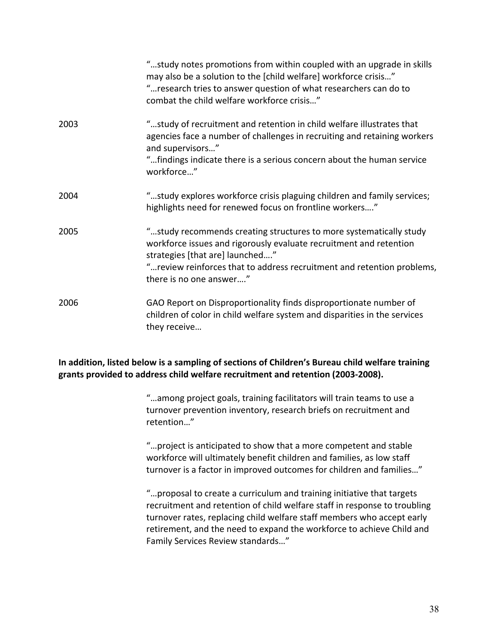|      | "study notes promotions from within coupled with an upgrade in skills<br>may also be a solution to the [child welfare] workforce crisis"<br>" research tries to answer question of what researchers can do to<br>combat the child welfare workforce crisis"                       |
|------|-----------------------------------------------------------------------------------------------------------------------------------------------------------------------------------------------------------------------------------------------------------------------------------|
| 2003 | "study of recruitment and retention in child welfare illustrates that<br>agencies face a number of challenges in recruiting and retaining workers<br>and supervisors"<br>"findings indicate there is a serious concern about the human service<br>workforce"                      |
| 2004 | "study explores workforce crisis plaguing children and family services;<br>highlights need for renewed focus on frontline workers"                                                                                                                                                |
| 2005 | "study recommends creating structures to more systematically study<br>workforce issues and rigorously evaluate recruitment and retention<br>strategies [that are] launched"<br>" review reinforces that to address recruitment and retention problems,<br>there is no one answer" |
| 2006 | GAO Report on Disproportionality finds disproportionate number of<br>children of color in child welfare system and disparities in the services<br>they receive                                                                                                                    |

# **In addition, listed below is a sampling of sections of Children's Bureau child welfare training grants provided to address child welfare recruitment and retention (2003-2008).**

"...among project goals, training facilitators will train teams to use a turnover prevention inventory, research briefs on recruitment and retention..."

"...project is anticipated to show that a more competent and stable workforce will ultimately benefit children and families, as low staff turnover is a factor in improved outcomes for children and families..."

\gproposal to create a curriculu8 and training initiative that targets recruitment and retention of child welfare staff in response to troubling turnover rates, replacing child welfare staff members who accept early retirement, and the need to expand the workforce to achieve Child and Family Services Review standards..."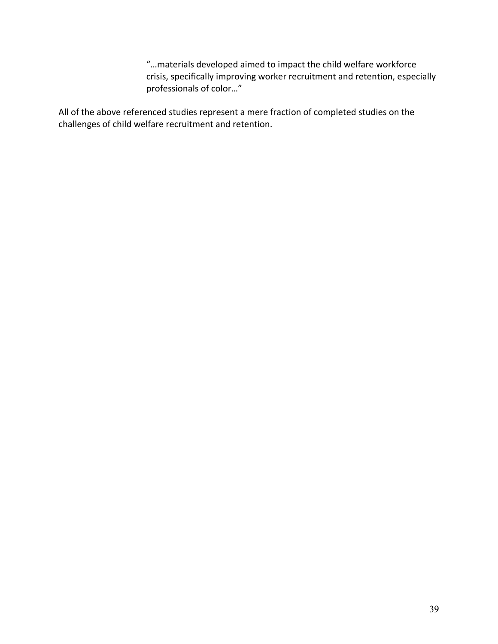"...materials developed aimed to impact the child welfare workforce crisis, specifically improving worker recruitment and retention, especially professionals of color..."

All of the above referenced studies represent a mere fraction of completed studies on the challenges of child welfare recruitment and retention.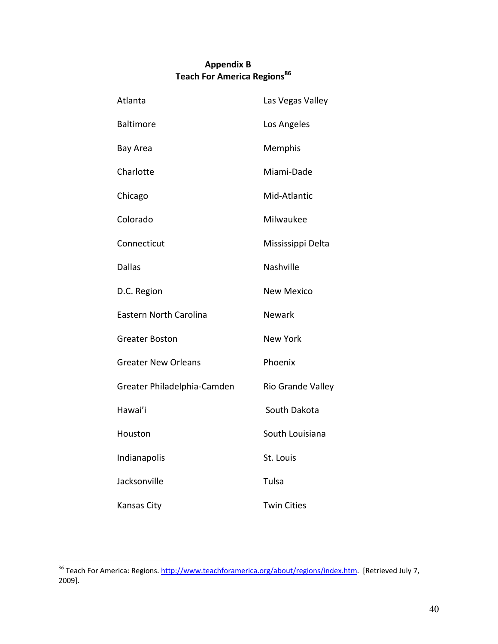# **Appendix B** Teach For America Regions<sup>86</sup>

| Atlanta                     | Las Vegas Valley   |
|-----------------------------|--------------------|
| <b>Baltimore</b>            | Los Angeles        |
| Bay Area                    | Memphis            |
| Charlotte                   | Miami-Dade         |
| Chicago                     | Mid-Atlantic       |
| Colorado                    | Milwaukee          |
| Connecticut                 | Mississippi Delta  |
| <b>Dallas</b>               | Nashville          |
| D.C. Region                 | <b>New Mexico</b>  |
| Eastern North Carolina      | Newark             |
| Greater Boston              | <b>New York</b>    |
| <b>Greater New Orleans</b>  | Phoenix            |
| Greater Philadelphia-Camden | Rio Grande Valley  |
| Hawai'i                     | South Dakota       |
| Houston                     | South Louisiana    |
| Indianapolis                | St. Louis          |
| Jacksonville                | Tulsa              |
| Kansas City                 | <b>Twin Cities</b> |

<sup>&</sup>lt;sup>86</sup> Teach For America: Regions. http://www.teachforamerica.org/about/regions/index.htm. [Retrieved July 7,  $2009$ ].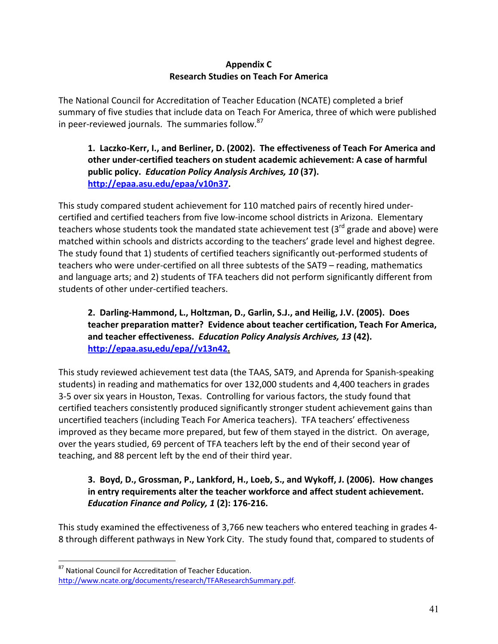# **Appendix C Research Studies on Teach For America**

The National Council for Accreditation of Teacher Education (NCATE) completed a brief summary of five studies that include data on Teach For America, three of which were published in peer-reviewed journals. The summaries follow.<sup>87</sup>

1. Laczko-Kerr, I., and Berliner, D. (2002). The effectiveness of Teach For America and other under-certified teachers on student academic achievement: A case of harmful public policy. Education Policy Analysis Archives, 10 (37). http://epaa.asu.edu/epaa/v10n37.

This study compared student achievement for 110 matched pairs of recently hired undercertified and certified teachers from five low-income school districts in Arizona. Elementary teachers whose students took the mandated state achievement test (3<sup>rd</sup> grade and above) were matched within schools and districts according to the teachers' grade level and highest degree. The study found that 1) students of certified teachers significantly out-performed students of teachers who were under-certified on all three subtests of the SAT9 - reading, mathematics and language arts; and 2) students of TFA teachers did not perform significantly different from students of other under-certified teachers.

# 2. Darling-Hammond, L., Holtzman, D., Garlin, S.J., and Heilig, J.V. (2005). Does teacher preparation matter? Evidence about teacher certification, Teach For America, and teacher effectiveness. Education Policy Analysis Archives, 13 (42). http://epaa.asu,edu/epa//v13n42.

This study reviewed achievement test data (the TAAS, SAT9, and Aprenda for Spanish-speaking students) in reading and mathematics for over 132,000 students and 4,400 teachers in grades 3-5 over six years in Houston, Texas. Controlling for various factors, the study found that certified teachers consistently produced significantly stronger student achievement gains than uncertified teachers (including Teach For America teachers). TFA teachers' effectiveness improved as they became more prepared, but few of them stayed in the district. On average, over the years studied, 69 percent of TFA teachers left by the end of their second year of teaching, and 88 percent left by the end of their third year.

# 3. Boyd, D., Grossman, P., Lankford, H., Loeb, S., and Wykoff, J. (2006). How changes in entry requirements alter the teacher workforce and affect student achievement. Education Finance and Policy, 1 (2): 176-216.

This study examined the effectiveness of 3,766 new teachers who entered teaching in grades 4-8 through different pathways in New York City. The study found that, compared to students of

<sup>87</sup> National Council for Accreditation of Teacher Education. http://www.ncate.org/documents/research/TFAResearchSummary.pdf.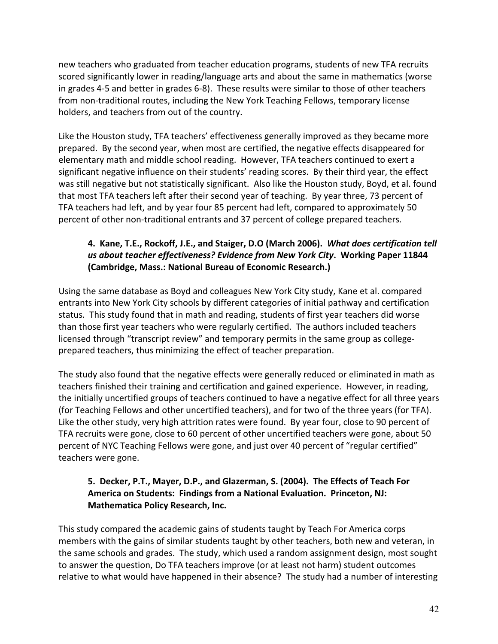new teachers who graduated from teacher education programs, students of new TFA recruits scored significantly lower in reading/language arts and about the same in mathematics (worse in grades 4-5 and better in grades 6-8). These results were similar to those of other teachers from non-traditional routes, including the New York Teaching Fellows, temporary license holders, and teachers from out of the country.

Like the Houston study, TFA teachers' effectiveness generally improved as they became more prepared. By the second year, when most are certified, the negative effects disappeared for elementary math and middle school reading. However, TFA teachers continued to exert a significant negative influence on their students' reading scores. By their third year, the effect was still negative but not statistically significant. Also like the Houston study, Boyd, et al. found that most TFA teachers left after their second year of teaching. By year three, 73 percent of TFA teachers had left, and by year four 85 percent had left, compared to approximately 50 percent of other non-traditional entrants and 37 percent of college prepared teachers.

# 4. Kane, T.E., Rockoff, J.E., and Staiger, D.O (March 2006). What does certification tell us about teacher effectiveness? Evidence from New York City. Working Paper 11844 (Cambridge, Mass.: National Bureau of Economic Research.)

Using the same database as Boyd and colleagues New York City study, Kane et al. compared entrants into New York City schools by different categories of initial pathway and certification status. This study found that in math and reading, students of first year teachers did worse than those first year teachers who were regularly certified. The authors included teachers licensed through "transcript review" and temporary permits in the same group as collegeprepared teachers, thus minimizing the effect of teacher preparation.

The study also found that the negative effects were generally reduced or eliminated in math as teachers finished their training and certification and gained experience. However, in reading, the initially uncertified groups of teachers continued to have a negative effect for all three years (for Teaching Fellows and other uncertified teachers), and for two of the three years (for TFA). Like the other study, very high attrition rates were found. By year four, close to 90 percent of TFA recruits were gone, close to 60 percent of other uncertified teachers were gone, about 50 percent of NYC Teaching Fellows were gone, and just over 40 percent of "regular certified" teachers were gone.

# 5. Decker, P.T., Mayer, D.P., and Glazerman, S. (2004). The Effects of Teach For America on Students: Findings from a National Evaluation. Princeton, NJ: **Mathematica Policy Research, Inc.**

This study compared the academic gains of students taught by Teach For America corps members with the gains of similar students taught by other teachers, both new and veteran, in the same schools and grades. The study, which used a random assignment design, most sought to answer the question, Do TFA teachers improve (or at least not harm) student outcomes relative to what would have happened in their absence? The study had a number of interesting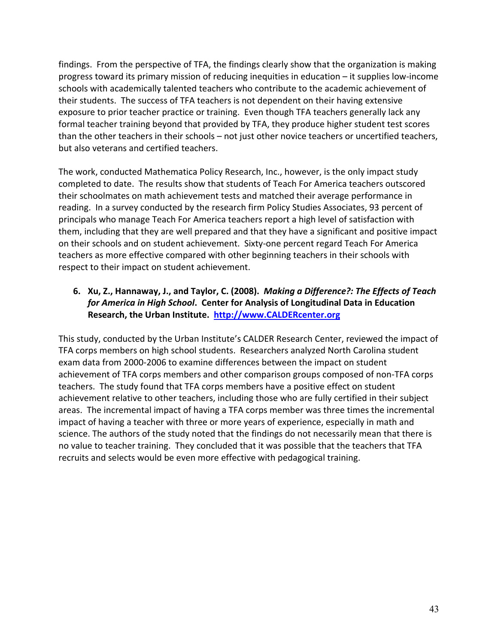findings. From the perspective of TFA, the findings clearly show that the organization is making progress toward its primary mission of reducing inequities in education – it supplies low-income schools with academically talented teachers who contribute to the academic achievement of their students. The success of TFA teachers is not dependent on their having extensive exposure to prior teacher practice or training. Even though TFA teachers generally lack any formal teacher training beyond that provided by TFA, they produce higher student test scores than the other teachers in their schools - not just other novice teachers or uncertified teachers, but also veterans and certified teachers.

The work, conducted Mathematica Policy Research, Inc., however, is the only impact study completed to date. The results show that students of Teach For America teachers outscored their schoolmates on math achievement tests and matched their average performance in reading. In a survey conducted by the research firm Policy Studies Associates, 93 percent of principals who manage Teach For America teachers report a high level of satisfaction with them, including that they are well prepared and that they have a significant and positive impact on their schools and on student achievement. Sixty-one percent regard Teach For America teachers as more effective compared with other beginning teachers in their schools with respect to their impact on student achievement.

# 6. Xu, Z., Hannaway, J., and Taylor, C. (2008). Making a Difference?: The Effects of Teach for America in High School. Center for Analysis of Longitudinal Data in Education Research, the Urban Institute. http://www.CALDERcenter.org

This study, conducted by the Urban Institute's CALDER Research Center, reviewed the impact of TFA corps members on high school students. Researchers analyzed North Carolina student exam data from 2000-2006 to examine differences between the impact on student achievement of TFA corps members and other comparison groups composed of non-TFA corps teachers. The study found that TFA corps members have a positive effect on student achievement relative to other teachers, including those who are fully certified in their subject areas. The incremental impact of having a TFA corps member was three times the incremental impact of having a teacher with three or more years of experience, especially in math and science. The authors of the study noted that the findings do not necessarily mean that there is no value to teacher training. They concluded that it was possible that the teachers that TFA recruits and selects would be even more effective with pedagogical training.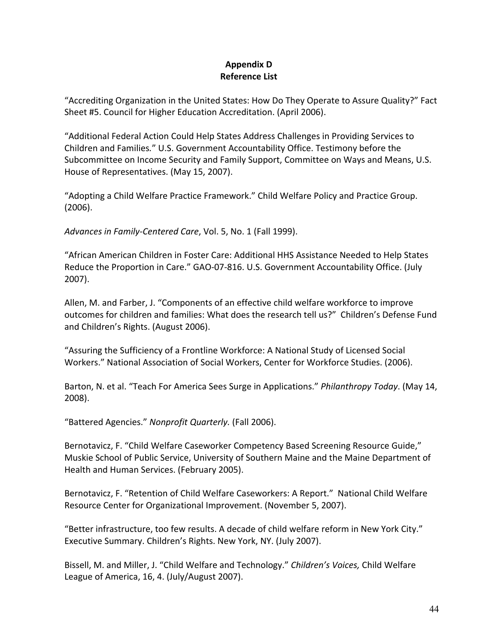# **Appendix D Reference List**

"Accrediting Organization in the United States: How Do They Operate to Assure Quality?" Fact Sheet #5. Council for Higher Education Accreditation. (April 2006).

"Additional Federal Action Could Help States Address Challenges in Providing Services to Children and Families." U.S. Government Accountability Office. Testimony before the Subcommittee on Income Security and Family Support, Committee on Ways and Means, U.S. House of Representatives. (May 15, 2007).

"Adopting a Child Welfare Practice Framework." Child Welfare Policy and Practice Group.  $(2006).$ 

Advances in Family-Centered Care, Vol. 5, No. 1 (Fall 1999).

"African American Children in Foster Care: Additional HHS Assistance Needed to Help States Reduce the Proportion in Care." GAO-07-816. U.S. Government Accountability Office. (July  $2007$ ).

Allen, M. and Farber, J. "Components of an effective child welfare workforce to improve outcomes for children and families: What does the research tell us?" Children's Defense Fund and Children's Rights. (August 2006).

"Assuring the Sufficiency of a Frontline Workforce: A National Study of Licensed Social Workers." National Association of Social Workers, Center for Workforce Studies. (2006).

Barton, N. et al. "Teach For America Sees Surge in Applications." Philanthropy Today. (May 14, 2008).

"Battered Agencies." Nonprofit Quarterly. (Fall 2006).

Bernotavicz, F. "Child Welfare Caseworker Competency Based Screening Resource Guide," Muskie School of Public Service, University of Southern Maine and the Maine Department of Health and Human Services. (February 2005).

Bernotavicz, F. "Retention of Child Welfare Caseworkers: A Report." National Child Welfare Resource Center for Organizational Improvement. (November 5, 2007).

"Better infrastructure, too few results. A decade of child welfare reform in New York City." Executive Summary. Children's Rights. New York, NY. (July 2007).

Bissell, M. and Miller, J. "Child Welfare and Technology." Children's Voices, Child Welfare League of America, 16, 4. (July/August 2007).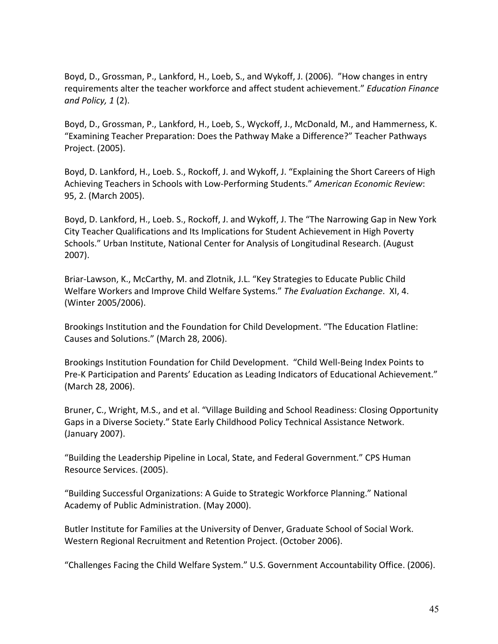Boyd, D., Grossman, P., Lankford, H., Loeb, S., and Wykoff, J. (2006). "How changes in entry requirements alter the teacher workforce and affect student achievement." Education Finance and Policy,  $1(2)$ .

Boyd, D., Grossman, P., Lankford, H., Loeb, S., Wyckoff, J., McDonald, M., and Hammerness, K. "Examining Teacher Preparation: Does the Pathway Make a Difference?" Teacher Pathways Project. (2005).

Boyd, D. Lankford, H., Loeb. S., Rockoff, J. and Wykoff, J. "Explaining the Short Careers of High Achieving Teachers in Schools with Low-Performing Students." American Economic Review: 95, 2. (March 2005).

Boyd, D. Lankford, H., Loeb. S., Rockoff, J. and Wykoff, J. The "The Narrowing Gap in New York City Teacher Qualifications and Its Implications for Student Achievement in High Poverty Schools." Urban Institute, National Center for Analysis of Longitudinal Research. (August  $2007$ ).

Briar-Lawson, K., McCarthy, M. and Zlotnik, J.L. "Key Strategies to Educate Public Child Welfare Workers and Improve Child Welfare Systems." The Evaluation Exchange. XI, 4. (Winter 2005/2006).

Brookings Institution and the Foundation for Child Development. "The Education Flatline: Causes and Solutions." (March 28, 2006).

Brookings Institution Foundation for Child Development. "Child Well-Being Index Points to Pre-K Participation and Parents' Education as Leading Indicators of Educational Achievement." (March 28, 2006).

Bruner, C., Wright, M.S., and et al. "Village Building and School Readiness: Closing Opportunity Gaps in a Diverse Society." State Early Childhood Policy Technical Assistance Network. (January 2007).

"Building the Leadership Pipeline in Local, State, and Federal Government." CPS Human Resource Services. (2005).

"Building Successful Organizations: A Guide to Strategic Workforce Planning." National Academy of Public Administration. (May 2000).

Butler Institute for Families at the University of Denver, Graduate School of Social Work. Western Regional Recruitment and Retention Project. (October 2006).

"Challenges Facing the Child Welfare System." U.S. Government Accountability Office. (2006).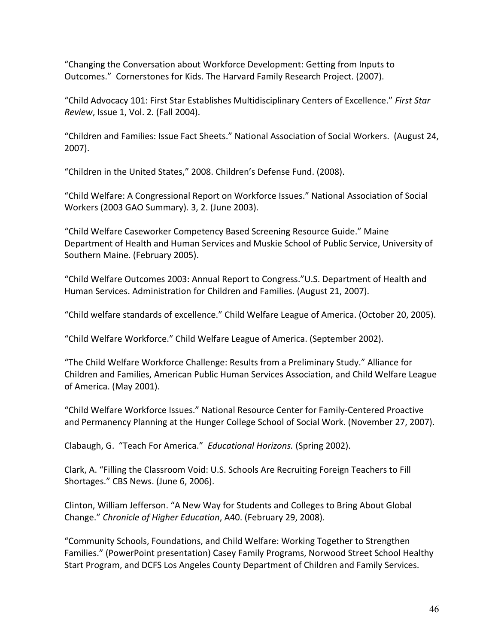"Changing the Conversation about Workforce Development: Getting from Inputs to Outcomes." Cornerstones for Kids. The Harvard Family Research Project. (2007).

"Child Advocacy 101: First Star Establishes Multidisciplinary Centers of Excellence." First Star Review, Issue 1, Vol. 2. (Fall 2004).

"Children and Families: Issue Fact Sheets." National Association of Social Workers. (August 24,  $2007$ ).

"Children in the United States," 2008. Children's Defense Fund. (2008).

"Child Welfare: A Congressional Report on Workforce Issues." National Association of Social Workers (2003 GAO Summary). 3, 2. (June 2003).

"Child Welfare Caseworker Competency Based Screening Resource Guide." Maine Department of Health and Human Services and Muskie School of Public Service, University of Southern Maine. (February 2005).

"Child Welfare Outcomes 2003: Annual Report to Congress."U.S. Department of Health and Human Services. Administration for Children and Families. (August 21, 2007).

"Child welfare standards of excellence." Child Welfare League of America. (October 20, 2005).

"Child Welfare Workforce." Child Welfare League of America. (September 2002).

"The Child Welfare Workforce Challenge: Results from a Preliminary Study." Alliance for Children and Families, American Public Human Services Association, and Child Welfare League of America. (May 2001).

"Child Welfare Workforce Issues." National Resource Center for Family-Centered Proactive and Permanency Planning at the Hunger College School of Social Work. (November 27, 2007).

Clabaugh, G. "Teach For America." Educational Horizons. (Spring 2002).

Clark, A. "Filling the Classroom Void: U.S. Schools Are Recruiting Foreign Teachers to Fill Shortages." CBS News. (June 6, 2006).

Clinton, William Jefferson. "A New Way for Students and Colleges to Bring About Global Change." Chronicle of Higher Education, A40. (February 29, 2008).

"Community Schools, Foundations, and Child Welfare: Working Together to Strengthen Families." (PowerPoint presentation) Casey Family Programs, Norwood Street School Healthy Start Program, and DCFS Los Angeles County Department of Children and Family Services.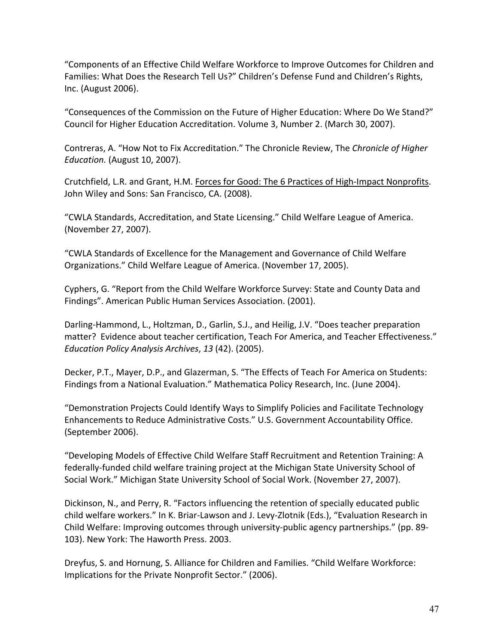"Components of an Effective Child Welfare Workforce to Improve Outcomes for Children and Families: What Does the Research Tell Us?" Children's Defense Fund and Children's Rights, Inc. (August 2006).

"Consequences of the Commission on the Future of Higher Education: Where Do We Stand?" Council for Higher Education Accreditation. Volume 3, Number 2. (March 30, 2007).

Contreras, A. "How Not to Fix Accreditation." The Chronicle Review, The Chronicle of Higher Education. (August 10, 2007).

Crutchfield, L.R. and Grant, H.M. Forces for Good: The 6 Practices of High-Impact Nonprofits. John Wiley and Sons: San Francisco, CA. (2008).

"CWLA Standards, Accreditation, and State Licensing." Child Welfare League of America. (November 27, 2007).

"CWLA Standards of Excellence for the Management and Governance of Child Welfare Organizations." Child Welfare League of America. (November 17, 2005).

Cyphers, G. "Report from the Child Welfare Workforce Survey: State and County Data and Findings". American Public Human Services Association. (2001).

Darling-Hammond, L., Holtzman, D., Garlin, S.J., and Heilig, J.V. "Does teacher preparation matter? Evidence about teacher certification, Teach For America, and Teacher Effectiveness." Education Policy Analysis Archives, 13 (42). (2005).

Decker, P.T., Mayer, D.P., and Glazerman, S. "The Effects of Teach For America on Students: Findings from a National Evaluation." Mathematica Policy Research, Inc. (June 2004).

"Demonstration Projects Could Identify Ways to Simplify Policies and Facilitate Technology Enhancements to Reduce Administrative Costs." U.S. Government Accountability Office. (September 2006).

"Developing Models of Effective Child Welfare Staff Recruitment and Retention Training: A federally-funded child welfare training project at the Michigan State University School of Social Work." Michigan State University School of Social Work. (November 27, 2007).

Dickinson, N., and Perry, R. "Factors influencing the retention of specially educated public child welfare workers." In K. Briar-Lawson and J. Levy-Zlotnik (Eds.), "Evaluation Research in Child Welfare: Improving outcomes through university-public agency partnerships." (pp. 89-103). New York: The Haworth Press. 2003.

Dreyfus, S. and Hornung, S. Alliance for Children and Families. "Child Welfare Workforce: Implications for the Private Nonprofit Sector." (2006).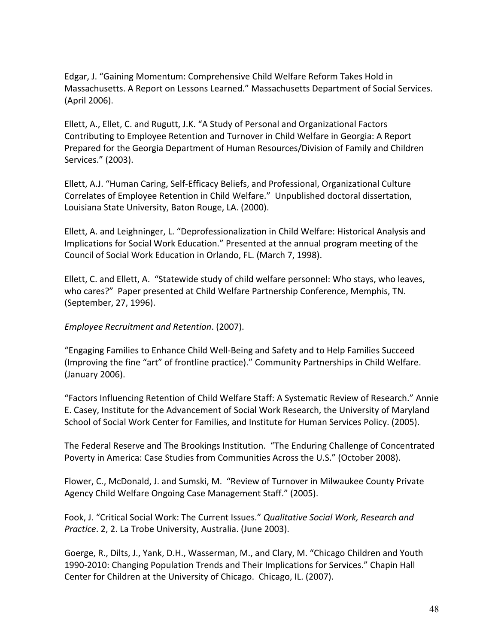Edgar, J. "Gaining Momentum: Comprehensive Child Welfare Reform Takes Hold in Massachusetts. A Report on Lessons Learned." Massachusetts Department of Social Services. (April 2006).

Ellett, A., Ellet, C. and Rugutt, J.K. "A Study of Personal and Organizational Factors Contributing to Employee Retention and Turnover in Child Welfare in Georgia: A Report Prepared for the Georgia Department of Human Resources/Division of Family and Children Services." (2003).

Ellett, A.J. "Human Caring, Self-Efficacy Beliefs, and Professional, Organizational Culture Correlates of Employee Retention in Child Welfare." Unpublished doctoral dissertation, Louisiana State University, Baton Rouge, LA. (2000).

Ellett, A. and Leighninger, L. "Deprofessionalization in Child Welfare: Historical Analysis and Implications for Social Work Education." Presented at the annual program meeting of the Council of Social Work Education in Orlando, FL. (March 7, 1998).

Ellett, C. and Ellett, A. "Statewide study of child welfare personnel: Who stays, who leaves, who cares?" Paper presented at Child Welfare Partnership Conference, Memphis, TN. (September, 27, 1996).

Employee Recruitment and Retention. (2007).

"Engaging Families to Enhance Child Well-Being and Safety and to Help Families Succeed (Improving the fine "art" of frontline practice)." Community Partnerships in Child Welfare. (January 2006).

"Factors Influencing Retention of Child Welfare Staff: A Systematic Review of Research." Annie E. Casey, Institute for the Advancement of Social Work Research, the University of Maryland School of Social Work Center for Families, and Institute for Human Services Policy. (2005).

The Federal Reserve and The Brookings Institution. "The Enduring Challenge of Concentrated Poverty in America: Case Studies from Communities Across the U.S." (October 2008).

Flower, C., McDonald, J. and Sumski, M. "Review of Turnover in Milwaukee County Private Agency Child Welfare Ongoing Case Management Staff." (2005).

Fook, J. "Critical Social Work: The Current Issues." Qualitative Social Work, Research and Practice. 2, 2. La Trobe University, Australia. (June 2003).

Goerge, R., Dilts, J., Yank, D.H., Wasserman, M., and Clary, M. "Chicago Children and Youth 1990-2010: Changing Population Trends and Their Implications for Services." Chapin Hall Center for Children at the University of Chicago. Chicago, IL. (2007).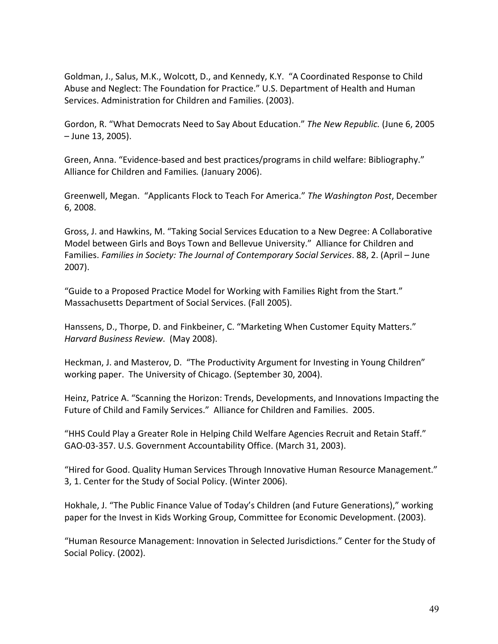Goldman, J., Salus, M.K., Wolcott, D., and Kennedy, K.Y. "A Coordinated Response to Child Abuse and Neglect: The Foundation for Practice." U.S. Department of Health and Human Services. Administration for Children and Families. (2003).

Gordon, R. "What Democrats Need to Say About Education." The New Republic. (June 6, 2005 - June 13, 2005).

Green, Anna. "Evidence-based and best practices/programs in child welfare: Bibliography." Alliance for Children and Families. (January 2006).

Greenwell, Megan. "Applicants Flock to Teach For America." The Washington Post, December  $6, 2008.$ 

Gross, J. and Hawkins, M. "Taking Social Services Education to a New Degree: A Collaborative Model between Girls and Boys Town and Bellevue University." Alliance for Children and Families. Families in Society: The Journal of Contemporary Social Services. 88, 2. (April - June  $2007$ ).

"Guide to a Proposed Practice Model for Working with Families Right from the Start." Massachusetts Department of Social Services. (Fall 2005).

Hanssens, D., Thorpe, D. and Finkbeiner, C. "Marketing When Customer Equity Matters." Harvard Business Review. (May 2008).

Heckman, J. and Masterov, D. "The Productivity Argument for Investing in Young Children" working paper. The University of Chicago. (September 30, 2004).

Heinz, Patrice A. "Scanning the Horizon: Trends, Developments, and Innovations Impacting the Future of Child and Family Services." Alliance for Children and Families. 2005.

"HHS Could Play a Greater Role in Helping Child Welfare Agencies Recruit and Retain Staff." GAO-03-357. U.S. Government Accountability Office. (March 31, 2003).

"Hired for Good. Quality Human Services Through Innovative Human Resource Management." 3, 1. Center for the Study of Social Policy. (Winter 2006).

Hokhale, J. "The Public Finance Value of Today's Children (and Future Generations)," working paper for the Invest in Kids Working Group, Committee for Economic Development. (2003).

"Human Resource Management: Innovation in Selected Jurisdictions." Center for the Study of Social Policy. (2002).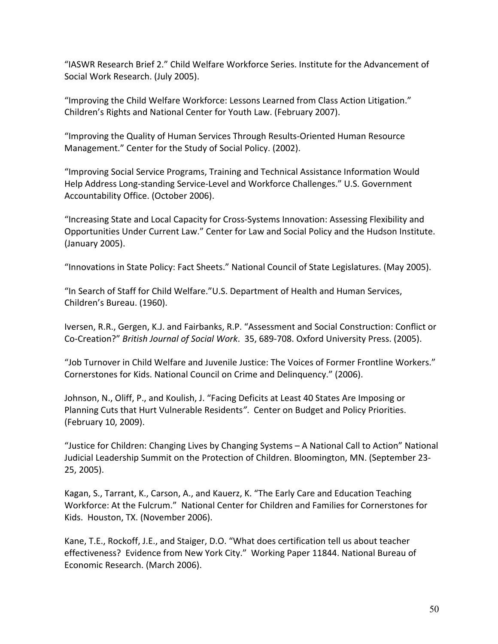"IASWR Research Brief 2." Child Welfare Workforce Series. Institute for the Advancement of Social Work Research. (July 2005).

"Improving the Child Welfare Workforce: Lessons Learned from Class Action Litigation." Children's Rights and National Center for Youth Law. (February 2007).

"Improving the Quality of Human Services Through Results-Oriented Human Resource Management." Center for the Study of Social Policy. (2002).

"Improving Social Service Programs, Training and Technical Assistance Information Would Help Address Long-standing Service-Level and Workforce Challenges." U.S. Government Accountability Office. (October 2006).

"Increasing State and Local Capacity for Cross-Systems Innovation: Assessing Flexibility and Opportunities Under Current Law." Center for Law and Social Policy and the Hudson Institute. (January 2005).

"Innovations in State Policy: Fact Sheets." National Council of State Legislatures. (May 2005).

"In Search of Staff for Child Welfare."U.S. Department of Health and Human Services, Children's Bureau. (1960).

Iversen, R.R., Gergen, K.J. and Fairbanks, R.P. "Assessment and Social Construction: Conflict or Co-Creation?" British Journal of Social Work. 35, 689-708. Oxford University Press. (2005).

"Job Turnover in Child Welfare and Juvenile Justice: The Voices of Former Frontline Workers." Cornerstones for Kids. National Council on Crime and Delinquency." (2006).

Johnson, N., Oliff, P., and Koulish, J. "Facing Deficits at Least 40 States Are Imposing or Planning Cuts that Hurt Vulnerable Residents". Center on Budget and Policy Priorities. (February 10, 2009).

"Justice for Children: Changing Lives by Changing Systems - A National Call to Action" National Judicial Leadership Summit on the Protection of Children. Bloomington, MN. (September 23-25, 2005).

Kagan, S., Tarrant, K., Carson, A., and Kauerz, K. "The Early Care and Education Teaching Workforce: At the Fulcrum." National Center for Children and Families for Cornerstones for Kids. Houston, TX. (November 2006).

Kane, T.E., Rockoff, J.E., and Staiger, D.O. "What does certification tell us about teacher effectiveness? Evidence from New York City." Working Paper 11844. National Bureau of Economic Research. (March 2006).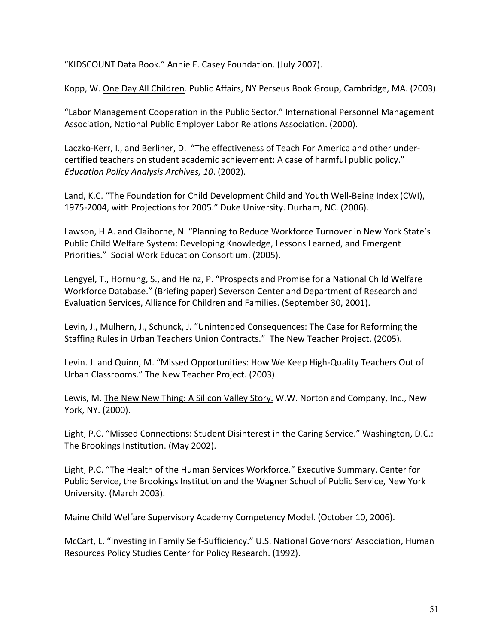"KIDSCOUNT Data Book." Annie E. Casey Foundation. (July 2007).

Kopp, W. One Day All Children. Public Affairs, NY Perseus Book Group, Cambridge, MA. (2003).

"Labor Management Cooperation in the Public Sector." International Personnel Management Association, National Public Employer Labor Relations Association. (2000).

Laczko-Kerr, I., and Berliner, D. "The effectiveness of Teach For America and other undercertified teachers on student academic achievement: A case of harmful public policy." Education Policy Analysis Archives, 10. (2002).

Land, K.C. "The Foundation for Child Development Child and Youth Well-Being Index (CWI), 1975-2004, with Projections for 2005." Duke University. Durham, NC. (2006).

Lawson, H.A. and Claiborne, N. "Planning to Reduce Workforce Turnover in New York State's Public Child Welfare System: Developing Knowledge, Lessons Learned, and Emergent Priorities." Social Work Education Consortium. (2005).

Lengyel, T., Hornung, S., and Heinz, P. "Prospects and Promise for a National Child Welfare Workforce Database." (Briefing paper) Severson Center and Department of Research and Evaluation Services, Alliance for Children and Families. (September 30, 2001).

Levin, J., Mulhern, J., Schunck, J. "Unintended Consequences: The Case for Reforming the Staffing Rules in Urban Teachers Union Contracts." The New Teacher Project. (2005).

Levin. J. and Quinn, M. "Missed Opportunities: How We Keep High-Quality Teachers Out of Urban Classrooms." The New Teacher Project. (2003).

Lewis, M. The New New Thing: A Silicon Valley Story. W.W. Norton and Company, Inc., New York, NY. (2000).

Light, P.C. "Missed Connections: Student Disinterest in the Caring Service." Washington, D.C.: The Brookings Institution. (May 2002).

Light, P.C. "The Health of the Human Services Workforce." Executive Summary. Center for Public Service, the Brookings Institution and the Wagner School of Public Service, New York University. (March 2003).

Maine Child Welfare Supervisory Academy Competency Model. (October 10, 2006).

McCart, L. "Investing in Family Self-Sufficiency." U.S. National Governors' Association, Human Resources Policy Studies Center for Policy Research. (1992).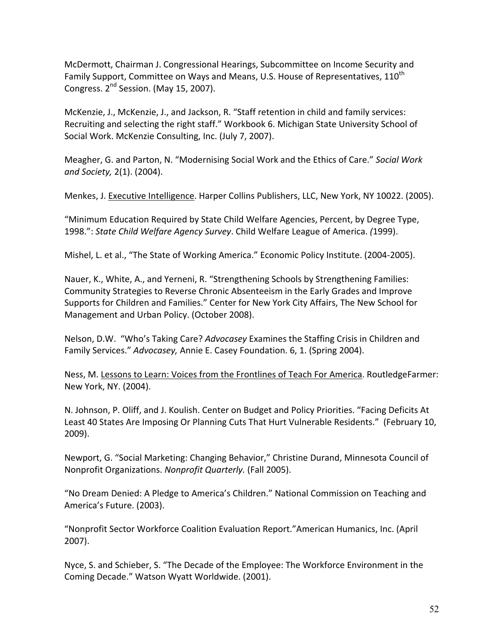McDermott, Chairman J. Congressional Hearings, Subcommittee on Income Security and Family Support, Committee on Ways and Means, U.S. House of Representatives, 110<sup>th</sup> Congress. 2<sup>nd</sup> Session. (May 15, 2007).

McKenzie, J., McKenzie, J., and Jackson, R. "Staff retention in child and family services: Recruiting and selecting the right staff." Workbook 6. Michigan State University School of Social Work. McKenzie Consulting, Inc. (July 7, 2007).

Meagher, G. and Parton, N. "Modernising Social Work and the Ethics of Care." Social Work and Society, 2(1). (2004).

Menkes, J. Executive Intelligence. Harper Collins Publishers, LLC, New York, NY 10022. (2005).

"Minimum Education Required by State Child Welfare Agencies, Percent, by Degree Type, 1998.": State Child Welfare Agency Survey. Child Welfare League of America. (1999).

Mishel, L. et al., "The State of Working America." Economic Policy Institute. (2004-2005).

Nauer, K., White, A., and Yerneni, R. "Strengthening Schools by Strengthening Families: Community Strategies to Reverse Chronic Absenteeism in the Early Grades and Improve Supports for Children and Families." Center for New York City Affairs, The New School for Management and Urban Policy. (October 2008).

Nelson, D.W. "Who's Taking Care? Advocasey Examines the Staffing Crisis in Children and Family Services." Advocasey, Annie E. Casey Foundation. 6, 1. (Spring 2004).

Ness, M. Lessons to Learn: Voices from the Frontlines of Teach For America. RoutledgeFarmer: New York, NY. (2004).

N. Johnson, P. Oliff, and J. Koulish. Center on Budget and Policy Priorities. "Facing Deficits At Least 40 States Are Imposing Or Planning Cuts That Hurt Vulnerable Residents." (February 10,  $2009$ ).

Newport, G. "Social Marketing: Changing Behavior," Christine Durand, Minnesota Council of Nonprofit Organizations. Nonprofit Quarterly. (Fall 2005).

"No Dream Denied: A Pledge to America's Children." National Commission on Teaching and America's Future. (2003).

"Nonprofit Sector Workforce Coalition Evaluation Report."American Humanics, Inc. (April  $2007$ ).

Nyce, S. and Schieber, S. "The Decade of the Employee: The Workforce Environment in the Coming Decade." Watson Wyatt Worldwide. (2001).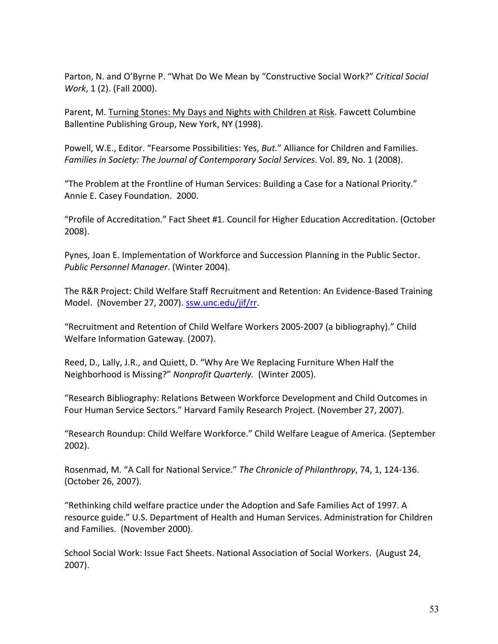Parton, N. and O'Byrne P. "What Do We Mean by "Constructive Social Work?" Critical Social Work, 1 (2). (Fall 2000).

Parent, M. Turning Stones: My Days and Nights with Children at Risk. Fawcett Columbine Ballentine Publishing Group, New York, NY (1998).

Powell, W.E., Editor. "Fearsome Possibilities: Yes, But." Alliance for Children and Families. Families in Society: The Journal of Contemporary Social Services. Vol. 89, No. 1 (2008).

"The Problem at the Frontline of Human Services: Building a Case for a National Priority." Annie E. Casey Foundation. 2000.

"Profile of Accreditation." Fact Sheet #1. Council for Higher Education Accreditation. (October 2008).

Pynes, Joan E. Implementation of Workforce and Succession Planning in the Public Sector. Public Personnel Manager. (Winter 2004).

The R&R Project: Child Welfare Staff Recruitment and Retention: An Evidence-Based Training Model. (November 27, 2007). ssw.unc.edu/jif/rr.

"Recruitment and Retention of Child Welfare Workers 2005-2007 (a bibliography)." Child Welfare Information Gateway. (2007).

Reed, D., Lally, J.R., and Quiett, D. "Why Are We Replacing Furniture When Half the Neighborhood is Missing?" Nonprofit Quarterly. (Winter 2005).

"Research Bibliography: Relations Between Workforce Development and Child Outcomes in Four Human Service Sectors." Harvard Family Research Project. (November 27, 2007).

"Research Roundup: Child Welfare Workforce." Child Welfare League of America. (September  $2002$ ).

Rosenmad, M. "A Call for National Service." The Chronicle of Philanthropy, 74, 1, 124-136. (October 26, 2007).

"Rethinking child welfare practice under the Adoption and Safe Families Act of 1997. A resource guide." U.S. Department of Health and Human Services. Administration for Children and Families. (November 2000).

School Social Work: Issue Fact Sheets. National Association of Social Workers. (August 24,  $2007$ ).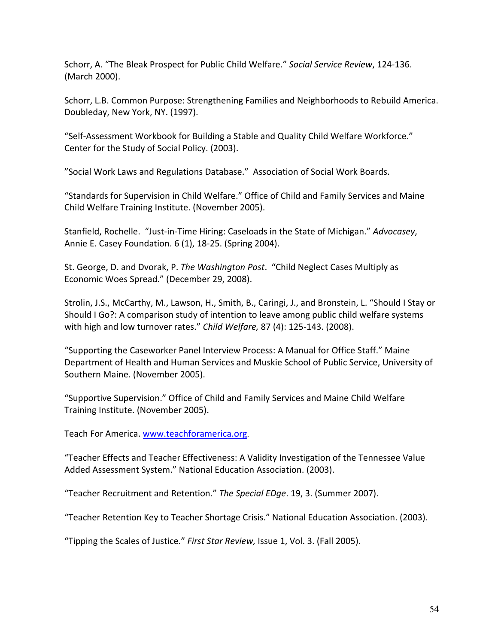Schorr, A. "The Bleak Prospect for Public Child Welfare." Social Service Review, 124-136. (March 2000).

Schorr, L.B. Common Purpose: Strengthening Families and Neighborhoods to Rebuild America. Doubleday, New York, NY. (1997).

"Self-Assessment Workbook for Building a Stable and Quality Child Welfare Workforce." Center for the Study of Social Policy. (2003).

"Social Work Laws and Regulations Database." Association of Social Work Boards.

"Standards for Supervision in Child Welfare." Office of Child and Family Services and Maine Child Welfare Training Institute. (November 2005).

Stanfield, Rochelle. "Just-in-Time Hiring: Caseloads in the State of Michigan." Advocasey, Annie E. Casey Foundation. 6 (1), 18-25. (Spring 2004).

St. George, D. and Dvorak, P. The Washington Post. "Child Neglect Cases Multiply as Economic Woes Spread." (December 29, 2008).

Strolin, J.S., McCarthy, M., Lawson, H., Smith, B., Caringi, J., and Bronstein, L. "Should I Stay or Should I Go?: A comparison study of intention to leave among public child welfare systems with high and low turnover rates." Child Welfare, 87 (4): 125-143. (2008).

"Supporting the Caseworker Panel Interview Process: A Manual for Office Staff." Maine Department of Health and Human Services and Muskie School of Public Service, University of Southern Maine. (November 2005).

"Supportive Supervision." Office of Child and Family Services and Maine Child Welfare Training Institute. (November 2005).

Teach For America. www.teachforamerica.org.

"Teacher Effects and Teacher Effectiveness: A Validity Investigation of the Tennessee Value Added Assessment System." National Education Association. (2003).

"Teacher Recruitment and Retention." The Special EDge. 19, 3. (Summer 2007).

"Teacher Retention Key to Teacher Shortage Crisis." National Education Association. (2003).

"Tipping the Scales of Justice." First Star Review, Issue 1, Vol. 3. (Fall 2005).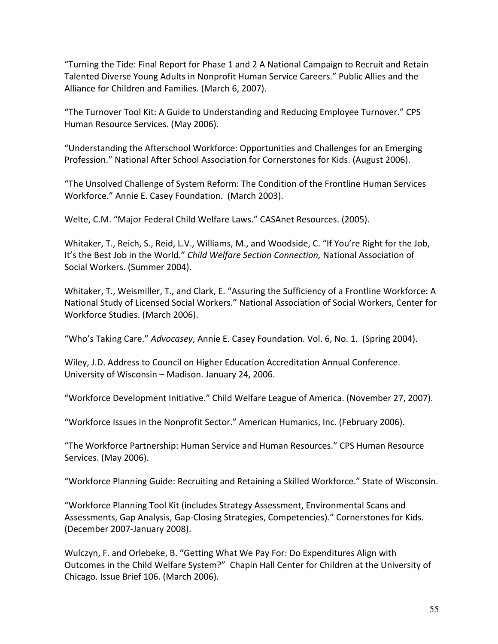"Turning the Tide: Final Report for Phase 1 and 2 A National Campaign to Recruit and Retain Talented Diverse Young Adults in Nonprofit Human Service Careers." Public Allies and the Alliance for Children and Families. (March 6, 2007).

"The Turnover Tool Kit: A Guide to Understanding and Reducing Employee Turnover." CPS Human Resource Services. (May 2006).

"Understanding the Afterschool Workforce: Opportunities and Challenges for an Emerging Profession." National After School Association for Cornerstones for Kids. (August 2006).

"The Unsolved Challenge of System Reform: The Condition of the Frontline Human Services Workforce." Annie E. Casey Foundation. (March 2003).

Welte, C.M. "Major Federal Child Welfare Laws." CASAnet Resources. (2005).

Whitaker, T., Reich, S., Reid, L.V., Williams, M., and Woodside, C. "If You're Right for the Job, It's the Best Job in the World." Child Welfare Section Connection, National Association of Social Workers. (Summer 2004).

Whitaker, T., Weismiller, T., and Clark, E. "Assuring the Sufficiency of a Frontline Workforce: A National Study of Licensed Social Workers." National Association of Social Workers, Center for Workforce Studies. (March 2006).

"Who's Taking Care." Advocasey, Annie E. Casey Foundation. Vol. 6, No. 1. (Spring 2004).

Wiley, J.D. Address to Council on Higher Education Accreditation Annual Conference. University of Wisconsin - Madison. January 24, 2006.

"Workforce Development Initiative." Child Welfare League of America. (November 27, 2007).

"Workforce Issues in the Nonprofit Sector." American Humanics, Inc. (February 2006).

"The Workforce Partnership: Human Service and Human Resources." CPS Human Resource Services. (May 2006).

"Workforce Planning Guide: Recruiting and Retaining a Skilled Workforce." State of Wisconsin.

"Workforce Planning Tool Kit (includes Strategy Assessment, Environmental Scans and Assessments, Gap Analysis, Gap-Closing Strategies, Competencies)." Cornerstones for Kids. (December 2007-January 2008).

Wulczyn, F. and Orlebeke, B. "Getting What We Pay For: Do Expenditures Align with Outcomes in the Child Welfare System?" Chapin Hall Center for Children at the University of Chicago. Issue Brief 106. (March 2006).